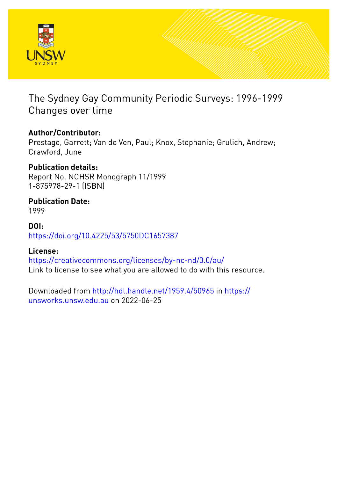

# The Sydney Gay Community Periodic Surveys: 1996-1999 Changes over time

# **Author/Contributor:**

Prestage, Garrett; Van de Ven, Paul; Knox, Stephanie; Grulich, Andrew; Crawford, June

# **Publication details:**

Report No. NCHSR Monograph 11/1999 1-875978-29-1 (ISBN)

# **Publication Date:**

1999

# **DOI:**

[https://doi.org/10.4225/53/5750DC1657387](http://dx.doi.org/https://doi.org/10.4225/53/5750DC1657387)

# **License:**

<https://creativecommons.org/licenses/by-nc-nd/3.0/au/> Link to license to see what you are allowed to do with this resource.

Downloaded from <http://hdl.handle.net/1959.4/50965> in [https://](https://unsworks.unsw.edu.au) [unsworks.unsw.edu.au](https://unsworks.unsw.edu.au) on 2022-06-25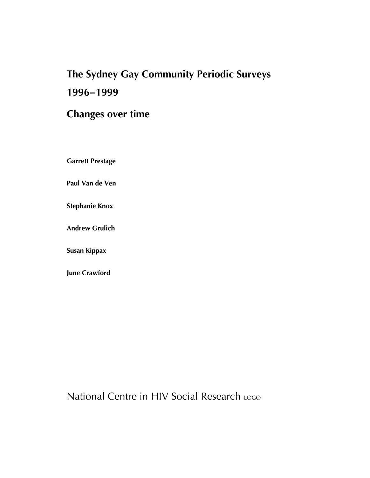# *The Sydney Gay Community Periodic Surveys 1996−1999*

# *Changes over time*

*Garrett Prestage* 

*Paul Van de Ven* 

*Stephanie Knox* 

*Andrew Grulich* 

*Susan Kippax* 

*June Crawford* 

National Centre in HIV Social Research LOGO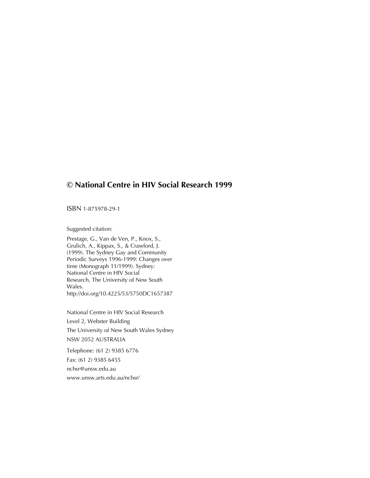## *© National Centre in HIV Social Research 1999*

ISBN 1-875978-29-1

Suggested citation:

Prestage, G., Van de Ven, P., Knox, S., Grulich, A., Kippax, S., & Crawford, J. (1999). The Sydney Gay and Community Periodic Surveys 1996-1999: Changes over time (Monograph 11/1999). Sydney: National Centre in HIV Social Research, The University of New South Wales. http://doi.org/10.4225/53/5750DC1657387

National Centre in HIV Social Research Level 2, Webster Building The University of New South Wales Sydney NSW 2052 AUSTRALIA

Telephone: (61 2) 9385 6776 Fax: (61 2) 9385 6455 nchsr@unsw.edu.au www.unsw.arts.edu.au/nchsr/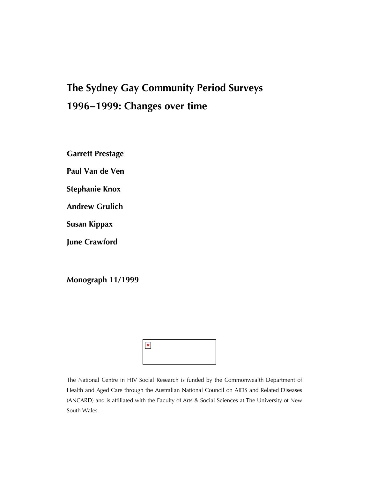# *The Sydney Gay Community Period Surveys 1996−1999: Changes over time*

*Garrett Prestage* 

*Paul Van de Ven* 

*Stephanie Knox* 

*Andrew Grulich* 

*Susan Kippax* 

*June Crawford* 

*Monograph 11/1999* 

| п, |  |  |  |
|----|--|--|--|
|    |  |  |  |

The National Centre in HIV Social Research is funded by the Commonwealth Department of Health and Aged Care through the Australian National Council on AIDS and Related Diseases (ANCARD) and is affiliated with the Faculty of Arts & Social Sciences at The University of New South Wales.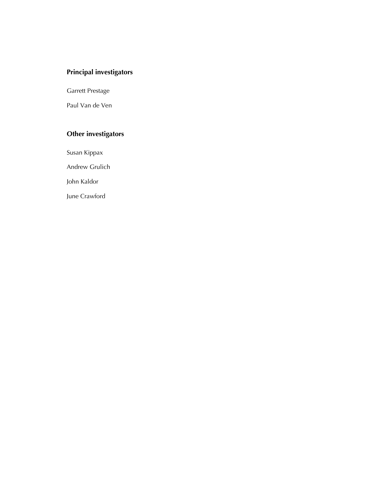## *Principal investigators*

Garrett Prestage

Paul Van de Ven

## *Other investigators*

Susan Kippax

Andrew Grulich

John Kaldor

June Crawford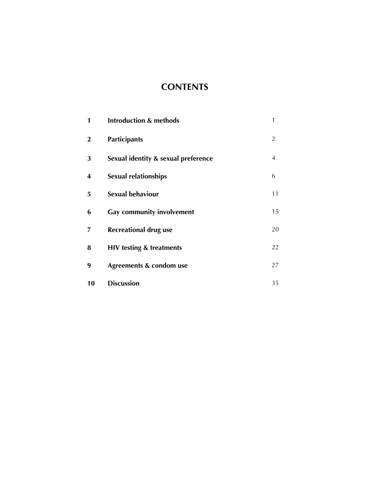# *CONTENTS*

| 1                | <b>Introduction &amp; methods</b>   | 1              |
|------------------|-------------------------------------|----------------|
| $\boldsymbol{2}$ | <b>Participants</b>                 | $\overline{2}$ |
| 3                | Sexual identity & sexual preference | $\overline{4}$ |
| 4                | <b>Sexual relationships</b>         | 6              |
| 5                | <b>Sexual behaviour</b>             | 11             |
| 6                | <b>Gay community involvement</b>    | 15             |
| 7                | <b>Recreational drug use</b>        | 20             |
| 8                | <b>HIV testing &amp; treatments</b> | 22             |
| 9                | Agreements & condom use             | 27             |
| 10               | <b>Discussion</b>                   | 35             |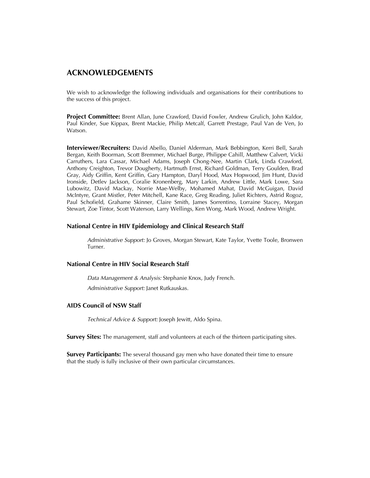#### *ACKNOWLEDGEMENTS*

We wish to acknowledge the following individuals and organisations for their contributions to the success of this project.

*Project Committee:* Brent Allan, June Crawford, David Fowler, Andrew Grulich, John Kaldor, Paul Kinder, Sue Kippax, Brent Mackie, Philip Metcalf, Garrett Prestage, Paul Van de Ven, Jo Watson.

*Interviewer/Recruiters:* David Abello, Daniel Alderman, Mark Bebbington, Kerri Bell, Sarah Bergan, Keith Boorman, Scott Bremmer, Michael Burge, Philippe Cahill, Matthew Calvert, Vicki Carruthers, Lara Cassar, Michael Adams, Joseph Chong-Nee, Martin Clark, Linda Crawford, Anthony Creighton, Trevor Dougherty, Hartmuth Ernst, Richard Goldman, Terry Goulden, Brad Gray, Aidy Griffin, Kent Griffin, Gary Hampton, Daryl Hood, Max Hopwood, Jim Hunt, David Ironside, Detlev Jackson, Coralie Kronenberg, Mary Larkin, Andrew Little, Mark Lowe, Sara Lubowitz, David Mackay, Norrie Mae-Welby, Mohamed Mahat, David McGuigan, David McIntyre, Grant Mistler, Peter Mitchell, Kane Race, Greg Reading, Juliet Richters, Astrid Rogoz, Paul Schofield, Grahame Skinner, Claire Smith, James Sorrentino, Lorraine Stacey, Morgan Stewart, Zoe Tintor, Scott Waterson, Larry Wellings, Ken Wong, Mark Wood, Andrew Wright.

#### *National Centre in HIV Epidemiology and Clinical Research Staff*

*Administrative Support:* Jo Groves, Morgan Stewart, Kate Taylor, Yvette Toole, Bronwen Turner.

#### *National Centre in HIV Social Research Staff*

*Data Management & Analysis:* Stephanie Knox, Judy French.

*Administrative Support:* Janet Rutkauskas.

#### *AIDS Council of NSW Staff*

*Technical Advice & Support:* Joseph Jewitt, Aldo Spina.

*Survey Sites:* The management, staff and volunteers at each of the thirteen participating sites.

*Survey Participants:* The several thousand gay men who have donated their time to ensure that the study is fully inclusive of their own particular circumstances.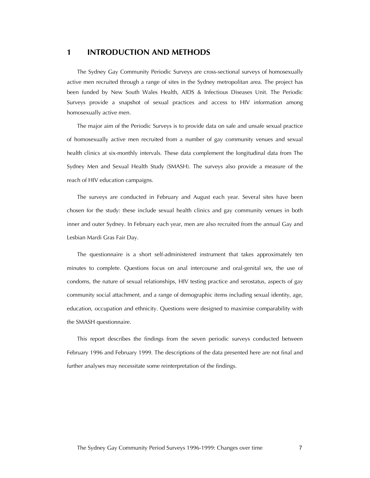#### *1 INTRODUCTION AND METHODS*

The Sydney Gay Community Periodic Surveys are cross-sectional surveys of homosexually active men recruited through a range of sites in the Sydney metropolitan area. The project has been funded by New South Wales Health, AIDS & Infectious Diseases Unit. The Periodic Surveys provide a snapshot of sexual practices and access to HIV information among homosexually active men.

The major aim of the Periodic Surveys is to provide data on safe and unsafe sexual practice of homosexually active men recruited from a number of gay community venues and sexual health clinics at six-monthly intervals. These data complement the longitudinal data from The Sydney Men and Sexual Health Study (SMASH). The surveys also provide a measure of the reach of HIV education campaigns.

The surveys are conducted in February and August each year. Several sites have been chosen for the study: these include sexual health clinics and gay community venues in both inner and outer Sydney. In February each year, men are also recruited from the annual Gay and Lesbian Mardi Gras Fair Day.

The questionnaire is a short self-administered instrument that takes approximately ten minutes to complete. Questions focus on anal intercourse and oral-genital sex, the use of condoms, the nature of sexual relationships, HIV testing practice and serostatus, aspects of gay community social attachment, and a range of demographic items including sexual identity, age, education, occupation and ethnicity. Questions were designed to maximise comparability with the SMASH questionnaire.

This report describes the findings from the seven periodic surveys conducted between February 1996 and February 1999. The descriptions of the data presented here are not final and further analyses may necessitate some reinterpretation of the findings.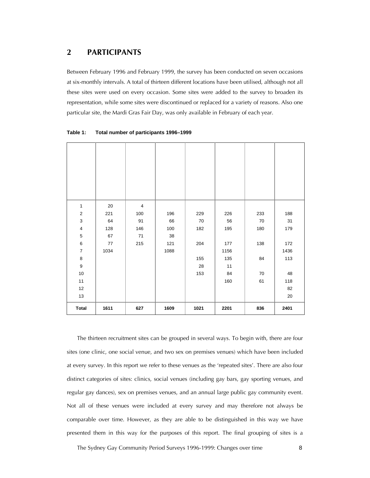#### *2 PARTICIPANTS*

Between February 1996 and February 1999, the survey has been conducted on seven occasions at six-monthly intervals. A total of thirteen different locations have been utilised, although not all these sites were used on every occasion. Some sites were added to the survey to broaden its representation, while some sites were discontinued or replaced for a variety of reasons. Also one particular site, the Mardi Gras Fair Day, was only available in February of each year.

| $\mathbf{1}$            | 20   | $\overline{4}$ |      |      |      |     |      |
|-------------------------|------|----------------|------|------|------|-----|------|
| $\mathbf 2$             | 221  | 100            | 196  | 229  | 226  | 233 | 188  |
| $\mathsf 3$             | 64   | 91             | 66   | 70   | 56   | 70  | 31   |
| $\overline{\mathbf{4}}$ | 128  | 146            | 100  | 182  | 195  | 180 | 179  |
| $\,$ 5 $\,$             | 67   | 71             | 38   |      |      |     |      |
| $\,6\,$                 | 77   | 215            | 121  | 204  | 177  | 138 | 172  |
| $\overline{7}$          | 1034 |                | 1088 |      | 1156 |     | 1436 |
| $\bf 8$                 |      |                |      | 155  | 135  | 84  | 113  |
| $\boldsymbol{9}$        |      |                |      | 28   | 11   |     |      |
| $10\,$                  |      |                |      | 153  | 84   | 70  | 48   |
| 11                      |      |                |      |      | 160  | 61  | 118  |
| 12                      |      |                |      |      |      |     | 82   |
| 13                      |      |                |      |      |      |     | 20   |
| <b>Total</b>            | 1611 | 627            | 1609 | 1021 | 2201 | 836 | 2401 |

**Table 1: Total number of participants 1996–1999** 

The thirteen recruitment sites can be grouped in several ways. To begin with, there are four sites (one clinic, one social venue, and two sex on premises venues) which have been included at every survey. In this report we refer to these venues as the 'repeated sites'. There are also four distinct categories of sites: clinics, social venues (including gay bars, gay sporting venues, and regular gay dances), sex on premises venues, and an annual large public gay community event. Not all of these venues were included at every survey and may therefore not always be comparable over time. However, as they are able to be distinguished in this way we have presented them in this way for the purposes of this report. The final grouping of sites is a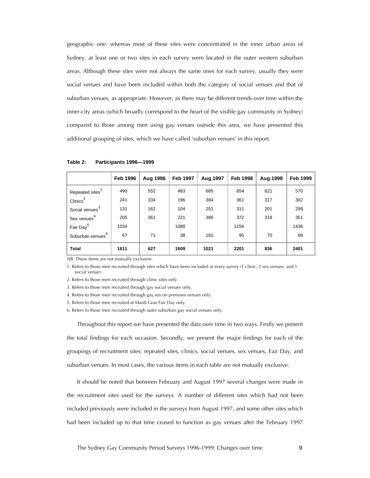geographic one: whereas most of these sites were concentrated in the inner urban areas of Sydney, at least one or two sites in each survey were located in the outer western suburban areas. Although these sites were not always the same ones for each survey, usually they were social venues and have been included within both the category of social venues and that of suburban venues, as appropriate. However, as there may be different trends over time within the inner-city areas (which broadly correspond to the heart of the visible gay community in Sydney) compared to those among men using gay venues outside this area, we have presented this additional grouping of sites, which we have called 'suburban venues' in this report.

|                              | <b>Feb 1996</b> | Aug 1996 | <b>Feb 1997</b> | Aug 1997 | <b>Feb 1998</b> | Aug 1998 | <b>Feb 1999</b> |
|------------------------------|-----------------|----------|-----------------|----------|-----------------|----------|-----------------|
| Repeated sites <sup>1</sup>  | 490             | 552      | 483             | 685      | 654             | 621      | 570             |
| $\text{Clinics}^2$           | 241             | 104      | 196             | 384      | 361             | 317      | 302             |
| Social venues <sup>3</sup>   | 131             | 162      | 104             | 251      | 311             | 201      | 299             |
| Sex venues <sup>4</sup>      | 205             | 361      | 221             | 386      | 372             | 318      | 351             |
| Fair Day <sup>5</sup>        | 1034            |          | 1088            |          | 1156            |          | 1436            |
| Suburban venues <sup>6</sup> | 67              | 71       | 38              | 181      | 95              | 70       | 68              |
| <b>Total</b>                 | 1611            | 627      | 1609            | 1021     | 2201            | 836      | 2401            |

**Table 2: Participants 1996—1999** 

NB: These items are not mutually exclusive.

1. Refers to those men recruited through sites which have been included at every survey (1 clinic, 2 sex venues, and 1 social venue).

2. Refers to those men recruited through clinic sites only.

3. Refers to those men recruited through gay social venues only.

4. Refers to those men recruited through gay sex on premises venues only.

5. Refers to those men recruited at Mardi Gras Fair Day only.

6. Refers to those men recruited through outer suburban gay social venues only.

Throughout this report we have presented the data over time in two ways. Firstly we present the total findings for each occasion. Secondly, we present the major findings for each of the groupings of recruitment sites: repeated sites, clinics, social venues, sex venues, Fair Day, and suburban venues. In most cases, the various items in each table are not mutually exclusive.

It should be noted that between February and August 1997 several changes were made in the recruitment sites used for the surveys. A number of different sites which had not been included previously were included in the surveys from August 1997, and some other sites which had been included up to that time ceased to function as gay venues after the February 1997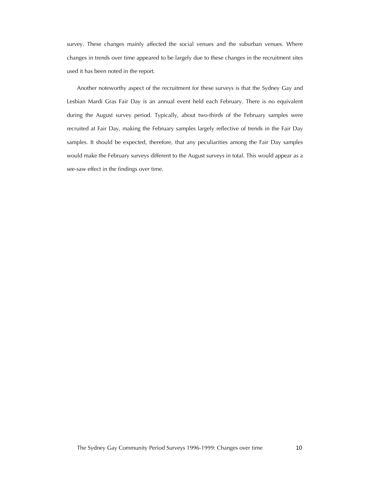survey. These changes mainly affected the social venues and the suburban venues. Where changes in trends over time appeared to be largely due to these changes in the recruitment sites used it has been noted in the report.

Another noteworthy aspect of the recruitment for these surveys is that the Sydney Gay and Lesbian Mardi Gras Fair Day is an annual event held each February. There is no equivalent during the August survey period. Typically, about two-thirds of the February samples were recruited at Fair Day, making the February samples largely reflective of trends in the Fair Day samples. It should be expected, therefore, that any peculiarities among the Fair Day samples would make the February surveys different to the August surveys in total. This would appear as a see-saw effect in the findings over time.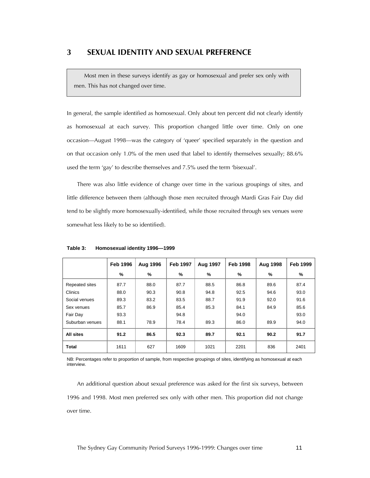Most men in these surveys identify as gay or homosexual and prefer sex only with men. This has not changed over time.

In general, the sample identified as homosexual. Only about ten percent did not clearly identify as homosexual at each survey. This proportion changed little over time. Only on one occasion—August 1998—was the category of 'queer' specified separately in the question and on that occasion only 1.0% of the men used that label to identify themselves sexually; 88.6% used the term 'gay' to describe themselves and 7.5% used the term 'bisexual'.

There was also little evidence of change over time in the various groupings of sites, and little difference between them (although those men recruited through Mardi Gras Fair Day did tend to be slightly more homosexually-identified, while those recruited through sex venues were somewhat less likely to be so identified).

|                 | <b>Feb 1996</b> | Aug 1996      | <b>Feb 1997</b> | Aug 1997 | <b>Feb 1998</b> | Aug 1998 | <b>Feb 1999</b> |
|-----------------|-----------------|---------------|-----------------|----------|-----------------|----------|-----------------|
|                 | %               | $\frac{9}{6}$ | %               | %        | %               | %        | $\frac{9}{6}$   |
| Repeated sites  | 87.7            | 88.0          | 87.7            | 88.5     | 86.8            | 89.6     | 87.4            |
| Clinics         | 88.0            | 90.3          | 90.8            | 94.8     | 92.5            | 94.6     | 93.0            |
| Social venues   | 89.3            | 83.2          | 83.5            | 88.7     | 91.9            | 92.0     | 91.6            |
| Sex venues      | 85.7            | 86.9          | 85.4            | 85.3     | 84.1            | 84.9     | 85.6            |
| Fair Day        | 93.3            |               | 94.8            |          | 94.0            |          | 93.0            |
| Suburban venues | 88.1            | 78.9          | 78.4            | 89.3     | 86.0            | 89.9     | 94.0            |
| All sites       | 91.2            | 86.5          | 92.3            | 89.7     | 92.1            | 90.2     | 91.7            |
| <b>Total</b>    | 1611            | 627           | 1609            | 1021     | 2201            | 836      | 2401            |

**Table 3: Homosexual identity 1996—1999** 

NB: Percentages refer to proportion of sample, from respective groupings of sites, identifying as homosexual at each interview.

An additional question about sexual preference was asked for the first six surveys, between 1996 and 1998. Most men preferred sex only with other men. This proportion did not change over time.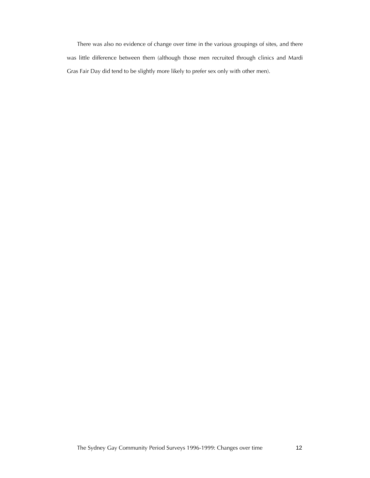There was also no evidence of change over time in the various groupings of sites, and there was little difference between them (although those men recruited through clinics and Mardi Gras Fair Day did tend to be slightly more likely to prefer sex only with other men).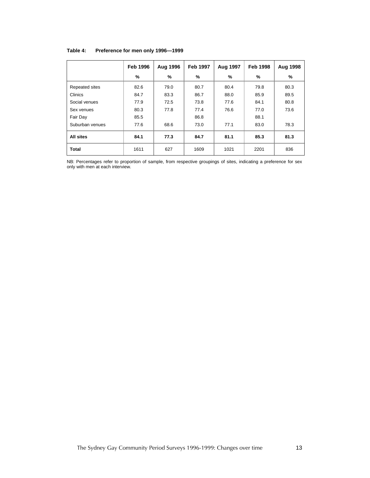|                 | <b>Feb 1996</b> | <b>Aug 1996</b> | <b>Feb 1997</b> | Aug 1997      | <b>Feb 1998</b> | Aug 1998 |
|-----------------|-----------------|-----------------|-----------------|---------------|-----------------|----------|
|                 | %               | %               | %               | $\frac{9}{6}$ | %               | %        |
| Repeated sites  | 82.6            | 79.0            | 80.7            | 80.4          | 79.8            | 80.3     |
| Clinics         | 84.7            | 83.3            | 86.7            | 88.0          | 85.9            | 89.5     |
| Social venues   | 77.9            | 72.5            | 73.8            | 77.6          | 84.1            | 80.8     |
| Sex venues      | 80.3            | 77.8            | 77.4            | 76.6          | 77.0            | 73.6     |
| Fair Day        | 85.5            |                 | 86.8            |               | 88.1            |          |
| Suburban venues | 77.6            | 68.6            | 73.0            | 77.1          | 83.0            | 78.3     |
| All sites       | 84.1            | 77.3            | 84.7            | 81.1          | 85.3            | 81.3     |
| <b>Total</b>    | 1611            | 627             | 1609            | 1021          | 2201            | 836      |

#### **Table 4: Preference for men only 1996—1999**

NB: Percentages refer to proportion of sample, from respective groupings of sites, indicating a preference for sex only with men at each interview.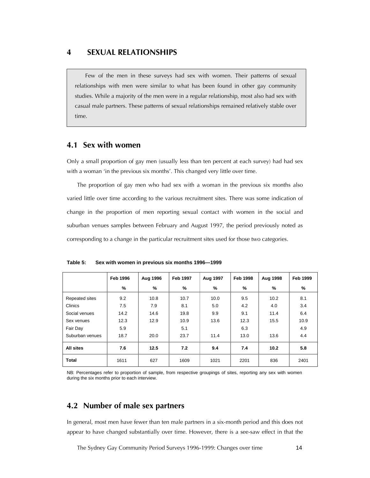#### *4 SEXUAL RELATIONSHIPS*

Few of the men in these surveys had sex with women. Their patterns of sexual relationships with men were similar to what has been found in other gay community studies. While a majority of the men were in a regular relationship, most also had sex with casual male partners. These patterns of sexual relationships remained relatively stable over time.

## *4.1 Sex with women*

Only a small proportion of gay men (usually less than ten percent at each survey) had had sex with a woman 'in the previous six months'. This changed very little over time.

The proportion of gay men who had sex with a woman in the previous six months also varied little over time according to the various recruitment sites. There was some indication of change in the proportion of men reporting sexual contact with women in the social and suburban venues samples between February and August 1997, the period previously noted as corresponding to a change in the particular recruitment sites used for those two categories.

|                 | <b>Feb 1996</b> | Aug 1996 | <b>Feb 1997</b> | Aug 1997 | <b>Feb 1998</b> | Aug 1998 | <b>Feb 1999</b> |
|-----------------|-----------------|----------|-----------------|----------|-----------------|----------|-----------------|
|                 | %               | %        | %               | %        | $\frac{9}{6}$   | %        | %               |
| Repeated sites  | 9.2             | 10.8     | 10.7            | 10.0     | 9.5             | 10.2     | 8.1             |
| Clinics         | 7.5             | 7.9      | 8.1             | 5.0      | 4.2             | 4.0      | 3.4             |
| Social venues   | 14.2            | 14.6     | 19.8            | 9.9      | 9.1             | 11.4     | 6.4             |
| Sex venues      | 12.3            | 12.9     | 10.9            | 13.6     | 12.3            | 15.5     | 10.9            |
| Fair Day        | 5.9             |          | 5.1             |          | 6.3             |          | 4.9             |
| Suburban venues | 18.7            | 20.0     | 23.7            | 11.4     | 13.0            | 13.6     | 4.4             |
| All sites       | 7.6             | 12.5     | 7.2             | 9.4      | 7.4             | 10.2     | 5.8             |
| <b>Total</b>    | 1611            | 627      | 1609            | 1021     | 2201            | 836      | 2401            |

**Table 5: Sex with women in previous six months 1996—1999** 

NB: Percentages refer to proportion of sample, from respective groupings of sites, reporting any sex with women during the six months prior to each interview.

#### *4.2 Number of male sex partners*

In general, most men have fewer than ten male partners in a six-month period and this does not appear to have changed substantially over time. However, there is a see-saw effect in that the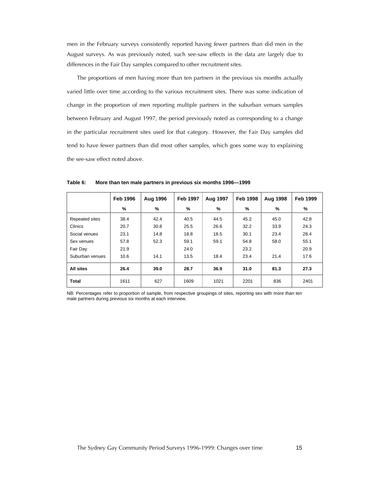men in the February surveys consistently reported having fewer partners than did men in the August surveys. As was previously noted, such see-saw effects in the data are largely due to differences in the Fair Day samples compared to other recruitment sites.

The proportions of men having more than ten partners in the previous six months actually varied little over time according to the various recruitment sites. There was some indication of change in the proportion of men reporting multiple partners in the suburban venues samples between February and August 1997, the period previously noted as corresponding to a change in the particular recruitment sites used for that category. However, the Fair Day samples did tend to have fewer partners than did most other samples, which goes some way to explaining the see-saw effect noted above.

|                 | <b>Feb 1996</b> | Aug 1996 | <b>Feb 1997</b> | Aug 1997 | <b>Feb 1998</b> | Aug 1998 | <b>Feb 1999</b> |
|-----------------|-----------------|----------|-----------------|----------|-----------------|----------|-----------------|
|                 | %               | %        | %               | $\%$     | %               | %        | %               |
| Repeated sites  | 38.4            | 42.4     | 40.5            | 44.5     | 45.2            | 45.0     | 42.8            |
| Clinics         | 20.7            | 30.8     | 25.5            | 26.6     | 32.2            | 33.9     | 24.3            |
| Social venues   | 23.1            | 14.8     | 18.8            | 18.5     | 30.1            | 23.4     | 28.4            |
| Sex venues      | 57.8            | 52.3     | 59.1            | 59.1     | 54.8            | 58.0     | 55.1            |
| Fair Day        | 21.9            |          | 24.0            |          | 23.2            |          | 20.9            |
| Suburban venues | 10.6            | 14.1     | 13.5            | 18.4     | 23.4            | 21.4     | 17.6            |
| All sites       | 26.4            | 39.0     | 28.7            | 36.9     | 31.0            | 81.3     | 27.3            |
| <b>Total</b>    | 1611            | 627      | 1609            | 1021     | 2201            | 836      | 2401            |

**Table 6: More than ten male partners in previous six months 1996—1999** 

NB: Percentages refer to proportion of sample, from respective groupings of sites, reporting sex with more than ten male partners during previous six months at each interview.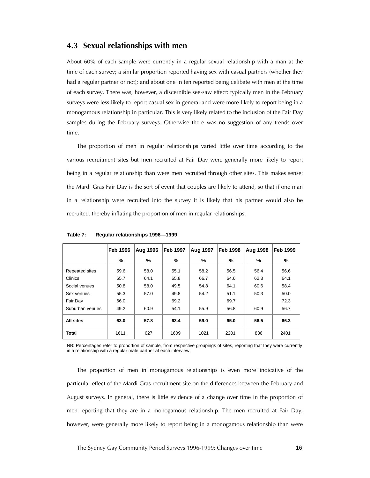#### *4.3 Sexual relationships with men*

About 60% of each sample were currently in a regular sexual relationship with a man at the time of each survey; a similar proportion reported having sex with casual partners (whether they had a regular partner or not); and about one in ten reported being celibate with men at the time of each survey. There was, however, a discernible see-saw effect: typically men in the February surveys were less likely to report casual sex in general and were more likely to report being in a monogamous relationship in particular. This is very likely related to the inclusion of the Fair Day samples during the February surveys. Otherwise there was no suggestion of any trends over time.

The proportion of men in regular relationships varied little over time according to the various recruitment sites but men recruited at Fair Day were generally more likely to report being in a regular relationship than were men recruited through other sites. This makes sense: the Mardi Gras Fair Day is the sort of event that couples are likely to attend, so that if one man in a relationship were recruited into the survey it is likely that his partner would also be recruited, thereby inflating the proportion of men in regular relationships.

|                 | <b>Feb 1996</b> | <b>Aug 1996</b> | Feb 1997 | Aug 1997 | <b>Feb 1998</b> | Aug 1998 | Feb 1999 |
|-----------------|-----------------|-----------------|----------|----------|-----------------|----------|----------|
|                 | %               | %               | %        | %        | %               | %        | %        |
| Repeated sites  | 59.6            | 58.0            | 55.1     | 58.2     | 56.5            | 56.4     | 56.6     |
| Clinics         | 65.7            | 64.1            | 65.8     | 66.7     | 64.6            | 62.3     | 64.1     |
| Social venues   | 50.8            | 58.0            | 49.5     | 54.8     | 64.1            | 60.6     | 58.4     |
| Sex venues      | 55.3            | 57.0            | 49.8     | 54.2     | 51.1            | 50.3     | 50.0     |
| Fair Day        | 66.0            |                 | 69.2     |          | 69.7            |          | 72.3     |
| Suburban venues | 49.2            | 60.9            | 54.1     | 55.9     | 56.8            | 60.9     | 56.7     |
| All sites       | 63.0            | 57.8            | 63.4     | 59.0     | 65.0            | 56.5     | 66.3     |
| <b>Total</b>    | 1611            | 627             | 1609     | 1021     | 2201            | 836      | 2401     |

**Table 7: Regular relationships 1996—1999** 

NB: Percentages refer to proportion of sample, from respective groupings of sites, reporting that they were currently in a relationship with a regular male partner at each interview.

The proportion of men in monogamous relationships is even more indicative of the particular effect of the Mardi Gras recruitment site on the differences between the February and August surveys. In general, there is little evidence of a change over time in the proportion of men reporting that they are in a monogamous relationship. The men recruited at Fair Day, however, were generally more likely to report being in a monogamous relationship than were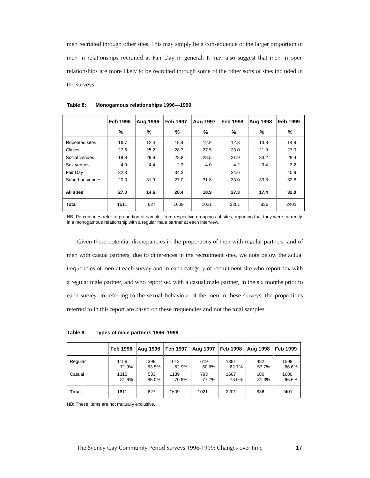men recruited through other sites. This may simply be a consequence of the larger proportion of men in relationships recruited at Fair Day in general. It may also suggest that men in open relationships are more likely to be recruited through some of the other sorts of sites included in the surveys.

|                       | <b>Feb 1996</b> | <b>Aug 1996</b> | <b>Feb 1997</b> | <b>Aug 1997</b> | <b>Feb 1998</b> | Aug 1998 | <b>Feb 1999</b> |
|-----------------------|-----------------|-----------------|-----------------|-----------------|-----------------|----------|-----------------|
|                       | %               | %               | %               | %               | ℅               | ℅        | %               |
| <b>Repeated sites</b> | 16.7            | 12.4            | 15.4            | 12.9            | 12.3            | 13.8     | 14.9            |
| Clinics               | 27.6            | 25.2            | 28.3            | 27.5            | 23.0            | 21.0     | 27.9            |
| Social venues         | 19.8            | 29.9            | 23.8            | 28.5            | 31.9            | 33.2     | 28.4            |
| Sex venues            | 4.0             | 4.4             | 2.3             | 4.0             | 4.2             | 3.4      | 3.2             |
| Fair Day              | 32.3            |                 | 34.3            |                 | 34.6            |          | 40.9            |
| Suburban venues       | 20.3            | 31.9            | 27.0            | 31.8            | 33.0            | 33.8     | 32.8            |
| All sites             | 27.0            | 14.6            | 28.4            | 18.9            | 27.3            | 17.4     | 32.0            |
| <b>Total</b>          | 1611            | 627             | 1609            | 1021            | 2201            | 836      | 2401            |

| Table 8: | Monogamous relationships 1996-1999 |  |
|----------|------------------------------------|--|
|          |                                    |  |

NB: Percentages refer to proportion of sample, from respective groupings of sites, reporting that they were currently in a monogamous relationship with a regular male partner at each interview.

Given these potential discrepancies in the proportions of men with regular partners, and of men with casual partners, due to differences in the recruitment sites, we note below the actual frequencies of men at each survey and in each category of recruitment site who report sex with a regular male partner, and who report sex with a casual male partner, in the six months prior to each survey. In referring to the sexual behaviour of the men in these surveys, the proportions referred to in this report are based on these frequencies and not the total samples.

**Table 9: Types of male partners 1996–1999** 

|         | <b>Feb 1996</b> | <b>Aug 1996</b> | <b>Feb 1997</b> | <b>Aug 1997</b> | <b>Feb 1998</b> | <b>Aug 1998</b> | <b>Feb 1999</b> |
|---------|-----------------|-----------------|-----------------|-----------------|-----------------|-----------------|-----------------|
| Regular | 1158            | 398             | 1012            | 619             | 1381            | 482             | 1598            |
|         | 71.9%           | 63.5%           | 62.9%           | 60.6%           | 62.7%           | 57.7%           | 66.6%           |
| Casual  | 1315            | 533             | 1139            | 793             | 1607            | 680             | 1600            |
|         | 81.6%           | 85.0%           | 70.8%           | 77.7%           | 73.0%           | 81.3%           | 66.6%           |
| Total   | 1611            | 627             | 1609            | 1021            | 2201            | 836             | 2401            |

NB: These items are not mutually exclusive.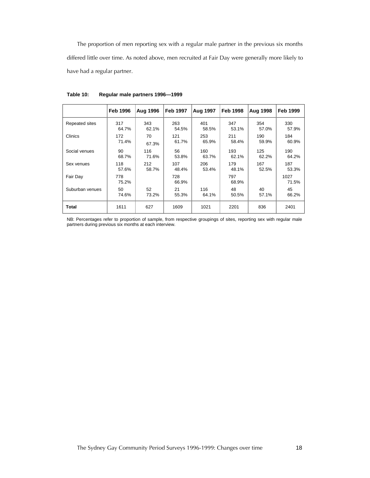The proportion of men reporting sex with a regular male partner in the previous six months differed little over time. As noted above, men recruited at Fair Day were generally more likely to have had a regular partner.

|                       | <b>Feb 1996</b> | <b>Aug 1996</b> | <b>Feb 1997</b> | <b>Aug 1997</b> | <b>Feb 1998</b> | <b>Aug 1998</b> | <b>Feb 1999</b> |
|-----------------------|-----------------|-----------------|-----------------|-----------------|-----------------|-----------------|-----------------|
| <b>Repeated sites</b> | 317             | 343             | 263             | 401             | 347             | 354             | 330             |
|                       | 64.7%           | 62.1%           | 54.5%           | 58.5%           | 53.1%           | 57.0%           | 57.9%           |
| Clinics               | 172             | 70              | 121             | 253             | 211             | 190             | 184             |
|                       | 71.4%           | 67.3%           | 61.7%           | 65.9%           | 58.4%           | 59.9%           | 60.9%           |
| Social venues         | 90              | 116             | 56              | 160             | 193             | 125             | 190             |
|                       | 68.7%           | 71.6%           | 53.8%           | 63.7%           | 62.1%           | 62.2%           | 64.2%           |
| Sex venues            | 118             | 212             | 107             | 206             | 179             | 167             | 187             |
|                       | 57.6%           | 58.7%           | 48.4%           | 53.4%           | 48.1%           | 52.5%           | 53.3%           |
| Fair Day              | 778<br>75.2%    |                 | 728<br>66.9%    |                 | 797<br>68.9%    |                 | 1027<br>71.5%   |
| Suburban venues       | 50              | 52              | 21              | 116             | 48              | 40              | 45              |
|                       | 74.6%           | 73.2%           | 55.3%           | 64.1%           | 50.5%           | 57.1%           | 66.2%           |
| Total                 | 1611            | 627             | 1609            | 1021            | 2201            | 836             | 2401            |

**Table 10: Regular male partners 1996—1999** 

NB: Percentages refer to proportion of sample, from respective groupings of sites, reporting sex with regular male partners during previous six months at each interview.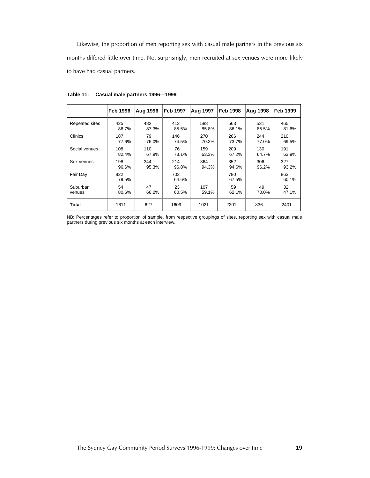Likewise, the proportion of men reporting sex with casual male partners in the previous six months differed little over time. Not surprisingly, men recruited at sex venues were more likely to have had casual partners.

|                | <b>Feb 1996</b> | <b>Aug 1996</b> | <b>Feb 1997</b> | Aug 1997 | Feb 1998     | <b>Aug 1998</b> | <b>Feb 1999</b> |
|----------------|-----------------|-----------------|-----------------|----------|--------------|-----------------|-----------------|
| Repeated sites | 425             | 482             | 413             | 588      | 563          | 531             | 465             |
|                | 86.7%           | 87.3%           | 85.5%           | 85.8%    | 86.1%        | 85.5%           | 81.6%           |
| Clinics        | 187             | 79              | 146             | 270      | 266          | 244             | 210             |
|                | 77.6%           | 76.0%           | 74.5%           | 70.3%    | 73.7%        | 77.0%           | 69.5%           |
| Social venues  | 108             | 110             | 76              | 159      | 209          | 130             | 191             |
|                | 82.4%           | 67.9%           | 73.1%           | 63.3%    | 67.2%        | 64.7%           | 63.9%           |
| Sex venues     | 198             | 344             | 214             | 364      | 352          | 306             | 327             |
|                | 96.6%           | 95.3%           | 96.8%           | 94.3%    | 94.6%        | 96.2%           | 93.2%           |
| Fair Day       | 822<br>79.5%    |                 | 703<br>64.6%    |          | 780<br>67.5% |                 | 863<br>60.1%    |
| Suburban       | 54              | 47              | 23              | 107      | 59           | 49              | 32              |
| venues         | 80.6%           | 66.2%           | 60.5%           | 59.1%    | 62.1%        | 70.0%           | 47.1%           |
| <b>Total</b>   | 1611            | 627             | 1609            | 1021     | 2201         | 836             | 2401            |

**Table 11: Casual male partners 1996—1999** 

NB: Percentages refer to proportion of sample, from respective groupings of sites, reporting sex with casual male partners during previous six months at each interview.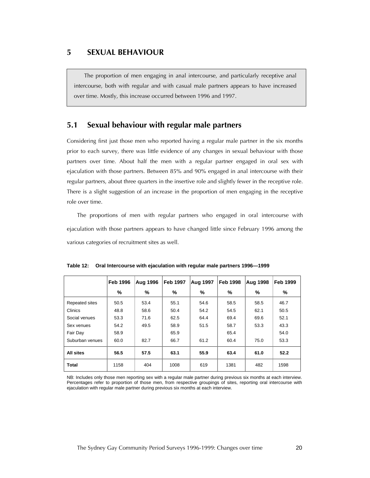### *5 SEXUAL BEHAVIOUR*

The proportion of men engaging in anal intercourse, and particularly receptive anal intercourse, both with regular and with casual male partners appears to have increased over time. Mostly, this increase occurred between 1996 and 1997.

## *5.1 Sexual behaviour with regular male partners*

Considering first just those men who reported having a regular male partner in the six months prior to each survey, there was little evidence of any changes in sexual behaviour with those partners over time. About half the men with a regular partner engaged in oral sex with ejaculation with those partners. Between 85% and 90% engaged in anal intercourse with their regular partners, about three quarters in the insertive role and slightly fewer in the receptive role. There is a slight suggestion of an increase in the proportion of men engaging in the receptive role over time.

The proportions of men with regular partners who engaged in oral intercourse with ejaculation with those partners appears to have changed little since February 1996 among the various categories of recruitment sites as well.

|                 | <b>Feb 1996</b> | <b>Aug 1996</b> | <b>Feb 1997</b> | Aug 1997 | <b>Feb 1998</b> | Aug 1998 | <b>Feb 1999</b> |
|-----------------|-----------------|-----------------|-----------------|----------|-----------------|----------|-----------------|
|                 | %               | %               | $\%$            | ℅        | %               | ℅        | %               |
| Repeated sites  | 50.5            | 53.4            | 55.1            | 54.6     | 58.5            | 58.5     | 46.7            |
| <b>Clinics</b>  | 48.8            | 58.6            | 50.4            | 54.2     | 54.5            | 62.1     | 50.5            |
| Social venues   | 53.3            | 71.6            | 62.5            | 64.4     | 69.4            | 69.6     | 52.1            |
| Sex venues      | 54.2            | 49.5            | 58.9            | 51.5     | 58.7            | 53.3     | 43.3            |
| Fair Day        | 58.9            |                 | 65.9            |          | 65.4            |          | 54.0            |
| Suburban venues | 60.0            | 82.7            | 66.7            | 61.2     | 60.4            | 75.0     | 53.3            |
| All sites       | 56.5            | 57.5            | 63.1            | 55.9     | 63.4            | 61.0     | 52.2            |
| <b>Total</b>    | 1158            | 404             | 1008            | 619      | 1381            | 482      | 1598            |

|  | Table 12: Oral Intercourse with ejaculation with regular male partners 1996-1999 |  |
|--|----------------------------------------------------------------------------------|--|
|--|----------------------------------------------------------------------------------|--|

NB: Includes only those men reporting sex with a regular male partner during previous six months at each interview. Percentages refer to proportion of those men, from respective groupings of sites, reporting oral intercourse with ejaculation with regular male partner during previous six months at each interview.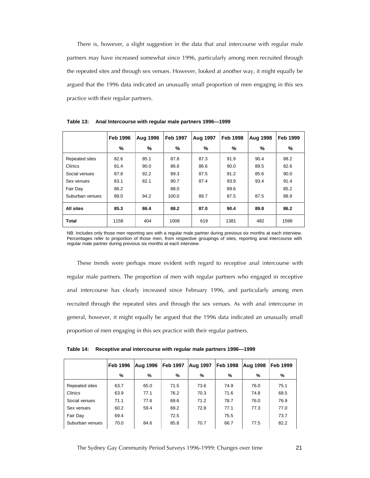There is, however, a slight suggestion in the data that anal intercourse with regular male partners may have increased somewhat since 1996, particularly among men recruited through the repeated sites and through sex venues. However, looked at another way, it might equally be argued that the 1996 data indicated an unusually small proportion of men engaging in this sex practice with their regular partners.

|                 | <b>Feb 1996</b> | <b>Aug 1996</b> | <b>Feb 1997</b> | <b>Aug 1997</b> | <b>Feb 1998</b> | <b>Aug 1998</b> | <b>Feb 1999</b> |
|-----------------|-----------------|-----------------|-----------------|-----------------|-----------------|-----------------|-----------------|
|                 | %               | %               | %               | ℅               | %               | %               | %               |
| Repeated sites  | 82.6            | 85.1            | 87.8            | 87.3            | 91.9            | 90.4            | 88.2            |
| <b>Clinics</b>  | 81.4            | 90.0            | 86.6            | 86.6            | 90.0            | 89.5            | 82.6            |
| Social venues   | 87.8            | 92.2            | 89.3            | 87.5            | 91.2            | 85.6            | 90.0            |
| Sex venues      | 83.1            | 82.1            | 90.7            | 87.4            | 93.9            | 93.4            | 91.4            |
| Fair Day        | 86.2            |                 | 88.0            |                 | 89.6            |                 | 85.2            |
| Suburban venues | 88.0            | 94.2            | 100.0           | 89.7            | 87.5            | 87.5            | 88.9            |
| All sites       | 85.3            | 86.4            | 88.2            | 87.0            | 90.4            | 89.8            | 86.2            |
| Total           | 1158            | 404             | 1008            | 619             | 1381            | 482             | 1598            |

**Table 13: Anal Intercourse with regular male partners 1996—1999** 

NB: Includes only those men reporting sex with a regular male partner during previous six months at each interview. Percentages refer to proportion of those men, from respective groupings of sites, reporting anal intercourse with regular male partner during previous six months at each interview.

These trends were perhaps more evident with regard to receptive anal intercourse with regular male partners. The proportion of men with regular partners who engaged in receptive anal intercourse has clearly increased since February 1996, and particularly among men recruited through the repeated sites and through the sex venues. As with anal intercourse in general, however, it might equally be argued that the 1996 data indicated an unusually small proportion of men engaging in this sex practice with their regular partners.

**Table 14: Receptive anal intercourse with regular male partners 1996—1999** 

|                 | <b>Feb 1996</b> | <b>Aug 1996</b> | <b>Feb 1997</b> | Aug 1997 | <b>Feb 1998</b> | Aug 1998 | Feb 1999 |
|-----------------|-----------------|-----------------|-----------------|----------|-----------------|----------|----------|
|                 | %               | %               | %               | %        | %               | %        | %        |
| Repeated sites  | 63.7            | 65.0            | 71.5            | 73.6     | 74.9            | 76.0     | 75.1     |
| Clinics         | 63.9            | 77.1            | 76.2            | 70.3     | 71.6            | 74.8     | 68.5     |
| Social venues   | 71.1            | 77.6            | 69.6            | 71.2     | 78.7            | 76.0     | 76.9     |
| Sex venues      | 60.2            | 59.4            | 69.2            | 72.8     | 77.1            | 77.3     | 77.0     |
| Fair Day        | 69.4            |                 | 72.5            |          | 75.5            |          | 73.7     |
| Suburban venues | 70.0            | 84.6            | 85.8            | 70.7     | 66.7            | 77.5     | 82.2     |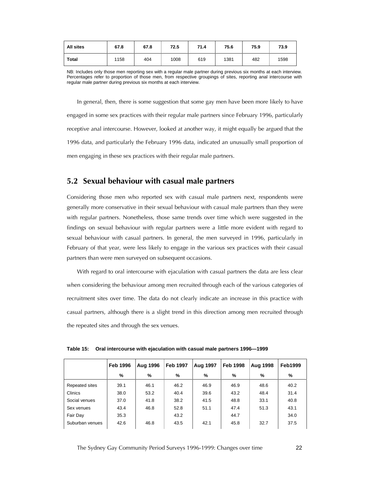| All sites    | 67.8 | 67.8 | 72.5 | 71.4 | 75.6 | 75.9 | 73.9 |
|--------------|------|------|------|------|------|------|------|
| <b>Total</b> | 1158 | 404  | 1008 | 619  | 1381 | 482  | 1598 |

NB: Includes only those men reporting sex with a regular male partner during previous six months at each interview. Percentages refer to proportion of those men, from respective groupings of sites, reporting anal intercourse with regular male partner during previous six months at each interview.

In general, then, there is some suggestion that some gay men have been more likely to have engaged in some sex practices with their regular male partners since February 1996, particularly receptive anal intercourse. However, looked at another way, it might equally be argued that the 1996 data, and particularly the February 1996 data, indicated an unusually small proportion of men engaging in these sex practices with their regular male partners.

#### *5.2 Sexual behaviour with casual male partners*

Considering those men who reported sex with casual male partners next, respondents were generally more conservative in their sexual behaviour with casual male partners than they were with regular partners. Nonetheless, those same trends over time which were suggested in the findings on sexual behaviour with regular partners were a little more evident with regard to sexual behaviour with casual partners. In general, the men surveyed in 1996, particularly in February of that year, were less likely to engage in the various sex practices with their casual partners than were men surveyed on subsequent occasions.

With regard to oral intercourse with ejaculation with casual partners the data are less clear when considering the behaviour among men recruited through each of the various categories of recruitment sites over time. The data do not clearly indicate an increase in this practice with casual partners, although there is a slight trend in this direction among men recruited through the repeated sites and through the sex venues.

|                 | <b>Feb 1996</b> | Aug 1996 | <b>Feb 1997</b> | <b>Aug 1997</b> | <b>Feb 1998</b> | <b>Aug 1998</b> | <b>Feb1999</b> |
|-----------------|-----------------|----------|-----------------|-----------------|-----------------|-----------------|----------------|
|                 | %               | %        | %               | %               | %               | %               | %              |
| Repeated sites  | 39.1            | 46.1     | 46.2            | 46.9            | 46.9            | 48.6            | 40.2           |
| <b>Clinics</b>  | 38.0            | 53.2     | 40.4            | 39.6            | 43.2            | 48.4            | 31.4           |
| Social venues   | 37.0            | 41.8     | 38.2            | 41.5            | 48.8            | 33.1            | 40.8           |
| Sex venues      | 43.4            | 46.8     | 52.8            | 51.1            | 47.4            | 51.3            | 43.1           |
| Fair Day        | 35.3            |          | 43.2            |                 | 44.7            |                 | 34.0           |
| Suburban venues | 42.6            | 46.8     | 43.5            | 42.1            | 45.8            | 32.7            | 37.5           |

**Table 15: Oral intercourse with ejaculation with casual male partners 1996—1999**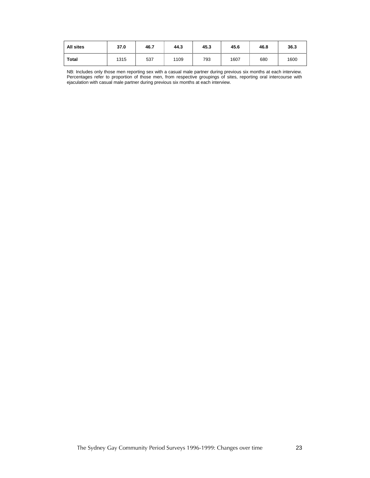| <b>All sites</b> | 37.0 | 46.7 | 44.3 | 45.3 | 45.6 | 46.8 | 36.3 |
|------------------|------|------|------|------|------|------|------|
| <b>Total</b>     | 1315 | 537  | 1109 | 793  | 1607 | 680  | 1600 |

NB: Includes only those men reporting sex with a casual male partner during previous six months at each interview. Percentages refer to proportion of those men, from respective groupings of sites, reporting oral intercourse with ejaculation with casual male partner during previous six months at each interview.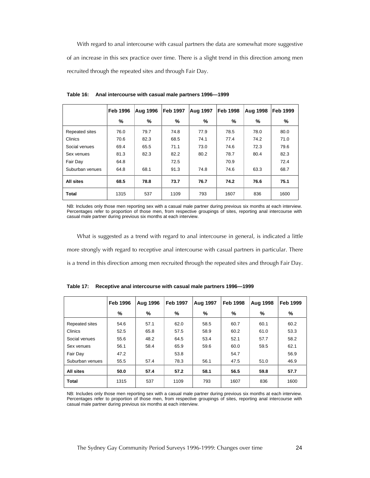With regard to anal intercourse with casual partners the data are somewhat more suggestive of an increase in this sex practice over time. There is a slight trend in this direction among men recruited through the repeated sites and through Fair Day.

|                 | <b>Feb 1996</b> | Aug 1996 | <b>Feb 1997</b> | Aug 1997 | <b>Feb 1998</b> | Aug 1998 | <b>Feb 1999</b> |
|-----------------|-----------------|----------|-----------------|----------|-----------------|----------|-----------------|
|                 | %               | %        | %               | %        | %               | ℅        | %               |
| Repeated sites  | 76.0            | 79.7     | 74.8            | 77.9     | 78.5            | 78.0     | 80.0            |
| Clinics         | 70.6            | 82.3     | 68.5            | 74.1     | 77.4            | 74.2     | 71.0            |
| Social venues   | 69.4            | 65.5     | 71.1            | 73.0     | 74.6            | 72.3     | 79.6            |
| Sex venues      | 81.3            | 82.3     | 82.2            | 80.2     | 78.7            | 80.4     | 82.3            |
| Fair Day        | 64.8            |          | 72.5            |          | 70.9            |          | 72.4            |
| Suburban venues | 64.8            | 68.1     | 91.3            | 74.8     | 74.6            | 63.3     | 68.7            |
| All sites       | 68.5            | 78.8     | 73.7            | 76.7     | 74.2            | 76.6     | 75.1            |
| <b>Total</b>    | 1315            | 537      | 1109            | 793      | 1607            | 836      | 1600            |

**Table 16: Anal intercourse with casual male partners 1996—1999** 

NB: Includes only those men reporting sex with a casual male partner during previous six months at each interview. Percentages refer to proportion of those men, from respective groupings of sites, reporting anal intercourse with casual male partner during previous six months at each interview.

What is suggested as a trend with regard to anal intercourse in general, is indicated a little more strongly with regard to receptive anal intercourse with casual partners in particular. There is a trend in this direction among men recruited through the repeated sites and through Fair Day.

|                 | <b>Feb 1996</b> | <b>Aug 1996</b> | <b>Feb 1997</b> | <b>Aug 1997</b> | <b>Feb 1998</b> | <b>Aug 1998</b> | <b>Feb 1999</b> |
|-----------------|-----------------|-----------------|-----------------|-----------------|-----------------|-----------------|-----------------|
|                 | %               | %               | %               | %               | %               | %               | %               |
| Repeated sites  | 54.6            | 57.1            | 62.0            | 58.5            | 60.7            | 60.1            | 60.2            |
| Clinics         | 52.5            | 65.8            | 57.5            | 58.9            | 60.2            | 61.0            | 53.3            |
| Social venues   | 55.6            | 48.2            | 64.5            | 53.4            | 52.1            | 57.7            | 58.2            |
| Sex venues      | 56.1            | 58.4            | 65.9            | 59.6            | 60.0            | 59.5            | 62.1            |
| Fair Day        | 47.2            |                 | 53.8            |                 | 54.7            |                 | 56.9            |
| Suburban venues | 55.5            | 57.4            | 78.3            | 56.1            | 47.5            | 51.0            | 46.9            |
| All sites       | 50.0            | 57.4            | 57.2            | 58.1            | 56.5            | 59.8            | 57.7            |
| <b>Total</b>    | 1315            | 537             | 1109            | 793             | 1607            | 836             | 1600            |

**Table 17: Receptive anal intercourse with casual male partners 1996—1999** 

NB: Includes only those men reporting sex with a casual male partner during previous six months at each interview. Percentages refer to proportion of those men, from respective groupings of sites, reporting anal intercourse with casual male partner during previous six months at each interview.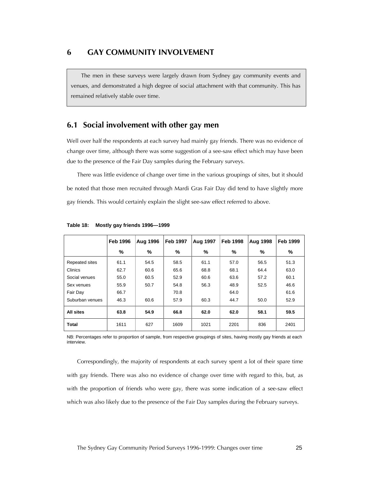The men in these surveys were largely drawn from Sydney gay community events and venues, and demonstrated a high degree of social attachment with that community. This has remained relatively stable over time.

## *6.1 Social involvement with other gay men*

Well over half the respondents at each survey had mainly gay friends. There was no evidence of change over time, although there was some suggestion of a see-saw effect which may have been due to the presence of the Fair Day samples during the February surveys.

There was little evidence of change over time in the various groupings of sites, but it should be noted that those men recruited through Mardi Gras Fair Day did tend to have slightly more gay friends. This would certainly explain the slight see-saw effect referred to above.

|                 | <b>Feb 1996</b> | <b>Aug 1996</b> | <b>Feb 1997</b> | <b>Aug 1997</b> | <b>Feb 1998</b> | <b>Aug 1998</b> | <b>Feb 1999</b> |
|-----------------|-----------------|-----------------|-----------------|-----------------|-----------------|-----------------|-----------------|
|                 | %               | %               | %               | %               | %               | %               | %               |
| Repeated sites  | 61.1            | 54.5            | 58.5            | 61.1            | 57.0            | 56.5            | 51.3            |
| <b>Clinics</b>  | 62.7            | 60.6            | 65.6            | 68.8            | 68.1            | 64.4            | 63.0            |
| Social venues   | 55.0            | 60.5            | 52.9            | 60.6            | 63.6            | 57.2            | 60.1            |
| Sex venues      | 55.9            | 50.7            | 54.8            | 56.3            | 48.9            | 52.5            | 46.6            |
| Fair Day        | 66.7            |                 | 70.8            |                 | 64.0            |                 | 61.6            |
| Suburban venues | 46.3            | 60.6            | 57.9            | 60.3            | 44.7            | 50.0            | 52.9            |
| All sites       | 63.8            | 54.9            | 66.8            | 62.0            | 62.0            | 58.1            | 59.5            |
| <b>Total</b>    | 1611            | 627             | 1609            | 1021            | 2201            | 836             | 2401            |

**Table 18: Mostly gay friends 1996—1999** 

NB: Percentages refer to proportion of sample, from respective groupings of sites, having mostly gay friends at each interview.

Correspondingly, the majority of respondents at each survey spent a lot of their spare time with gay friends. There was also no evidence of change over time with regard to this, but, as with the proportion of friends who were gay, there was some indication of a see-saw effect which was also likely due to the presence of the Fair Day samples during the February surveys.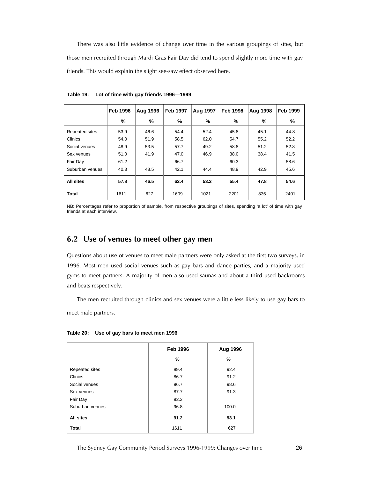There was also little evidence of change over time in the various groupings of sites, but those men recruited through Mardi Gras Fair Day did tend to spend slightly more time with gay friends. This would explain the slight see-saw effect observed here.

|                 | <b>Feb 1996</b> | <b>Aug 1996</b> | <b>Feb 1997</b> | Aug 1997 | <b>Feb 1998</b> | <b>Aug 1998</b> | <b>Feb 1999</b> |
|-----------------|-----------------|-----------------|-----------------|----------|-----------------|-----------------|-----------------|
|                 | %               | %               | %               | %        | %               | %               | %               |
| Repeated sites  | 53.9            | 46.6            | 54.4            | 52.4     | 45.8            | 45.1            | 44.8            |
| Clinics         | 54.0            | 51.9            | 58.5            | 62.0     | 54.7            | 55.2            | 52.2            |
| Social venues   | 48.9            | 53.5            | 57.7            | 49.2     | 58.8            | 51.2            | 52.8            |
| Sex venues      | 51.0            | 41.9            | 47.0            | 46.9     | 38.0            | 38.4            | 41.5            |
| Fair Day        | 61.2            |                 | 66.7            |          | 60.3            |                 | 58.6            |
| Suburban venues | 40.3            | 48.5            | 42.1            | 44.4     | 48.9            | 42.9            | 45.6            |
| All sites       | 57.8            | 46.5            | 62.4            | 53.2     | 55.4            | 47.8            | 54.6            |
| <b>Total</b>    | 1611            | 627             | 1609            | 1021     | 2201            | 836             | 2401            |

**Table 19: Lot of time with gay friends 1996—1999** 

NB: Percentages refer to proportion of sample, from respective groupings of sites, spending 'a lot' of time with gay friends at each interview.

## *6.2 Use of venues to meet other gay men*

Questions about use of venues to meet male partners were only asked at the first two surveys, in 1996. Most men used social venues such as gay bars and dance parties, and a majority used gyms to meet partners. A majority of men also used saunas and about a third used backrooms and beats respectively.

The men recruited through clinics and sex venues were a little less likely to use gay bars to meet male partners.

|  |  | Table 20: Use of gay bars to meet men 1996 |  |
|--|--|--------------------------------------------|--|
|--|--|--------------------------------------------|--|

|                       | <b>Feb 1996</b> | Aug 1996 |
|-----------------------|-----------------|----------|
|                       | %               | %        |
| <b>Repeated sites</b> | 89.4            | 92.4     |
| Clinics               | 86.7            | 91.2     |
| Social venues         | 96.7            | 98.6     |
| Sex venues            | 87.7            | 91.3     |
| Fair Day              | 92.3            |          |
| Suburban venues       | 96.8            | 100.0    |
| All sites             | 91.2            | 93.1     |
| <b>Total</b>          | 1611            | 627      |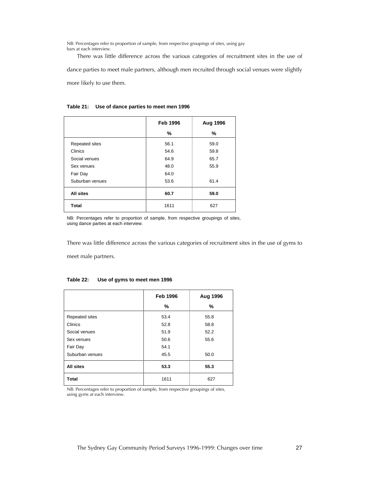NB: Percentages refer to proportion of sample, from respective groupings of sites, using gay bars at each interview.

There was little difference across the various categories of recruitment sites in the use of dance parties to meet male partners, although men recruited through social venues were slightly more likely to use them.

|                  | <b>Feb 1996</b> | Aug 1996 |
|------------------|-----------------|----------|
|                  | %               | %        |
| Repeated sites   | 56.1            | 59.0     |
| Clinics          | 54.6            | 59.8     |
| Social venues    | 64.9            | 65.7     |
| Sex venues       | 48.0            | 55.9     |
| Fair Day         | 64.0            |          |
| Suburban venues  | 53.6            | 61.4     |
| <b>All sites</b> | 60.7            | 59.0     |
| <b>Total</b>     | 1611            | 627      |

#### **Table 21: Use of dance parties to meet men 1996**

NB: Percentages refer to proportion of sample, from respective groupings of sites, using dance parties at each interview.

There was little difference across the various categories of recruitment sites in the use of gyms to

meet male partners.

|                  | <b>Feb 1996</b> | Aug 1996 |
|------------------|-----------------|----------|
|                  | %               | %        |
| Repeated sites   | 53.4            | 55.8     |
| Clinics          | 52.8            | 58.8     |
| Social venues    | 51.9            | 52.2     |
| Sex venues       | 50.6            | 55.6     |
| Fair Day         | 54.1            |          |
| Suburban venues  | 45.5            | 50.0     |
| <b>All sites</b> | 53.3            | 55.3     |
| <b>Total</b>     | 1611            | 627      |

#### **Table 22: Use of gyms to meet men 1996**

NB: Percentages refer to proportion of sample, from respective groupings of sites, using gyms at each interview.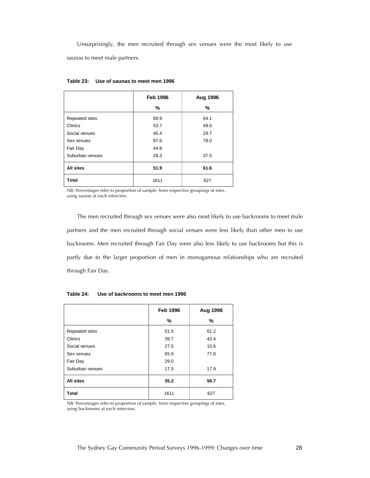Unsurprisingly, the men recruited through sex venues were the most likely to use saunas to meet male partners.

|                  | <b>Feb 1996</b> | Aug 1996 |
|------------------|-----------------|----------|
|                  | ℅               | %        |
| Repeated sites   | 69.9            | 64.1     |
| Clinics          | 53.7            | 49.0     |
| Social venues    | 45.4            | 29.7     |
| Sex venues       | 87.6            | 78.0     |
| Fair Day         | 44.8            |          |
| Suburban venues  | 28.3            | 37.5     |
| <b>All sites</b> | 51.9            | 61.6     |
| Total            | 1611            | 627      |

**Table 23: Use of saunas to meet men 1996** 

NB: Percentages refer to proportion of sample, from respective groupings of sites, using saunas at each interview.

The men recruited through sex venues were also most likely to use backrooms to meet male partners and the men recruited through social venues were less likely than other men to use backrooms. Men recruited through Fair Day were also less likely to use backrooms but this is partly due to the larger proportion of men in monogamous relationships who are recruited through Fair Day.

|                  | <b>Feb 1996</b> | Aug 1996 |
|------------------|-----------------|----------|
|                  | %               | %        |
| Repeated sites   | 51.5            | 61.2     |
| Clinics          | 39.7            | 42.4     |
| Social venues    | 27.5            | 15.6     |
| Sex venues       | 65.9            | 77.8     |
| Fair Day         | 29.0            |          |
| Suburban venues  | 17.3            | 17.9     |
| <b>All sites</b> | 35.2            | 56.7     |
| <b>Total</b>     | 1611            | 627      |

**Table 24: Use of backrooms to meet men 1996** 

NB: Percentages refer to proportion of sample, from respective groupings of sites, using backrooms at each interview.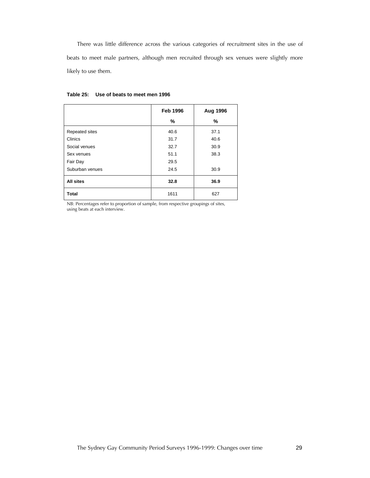There was little difference across the various categories of recruitment sites in the use of beats to meet male partners, although men recruited through sex venues were slightly more likely to use them.

|                  | <b>Feb 1996</b> | Aug 1996 |
|------------------|-----------------|----------|
|                  | %               | %        |
| Repeated sites   | 40.6            | 37.1     |
| Clinics          | 31.7            | 40.6     |
| Social venues    | 32.7            | 30.9     |
| Sex venues       | 51.1            | 38.3     |
| Fair Day         | 29.5            |          |
| Suburban venues  | 24.5            | 30.9     |
| <b>All sites</b> | 32.8            | 36.9     |
| <b>Total</b>     | 1611            | 627      |

| Table 25: Use of beats to meet men 1996 |  |  |
|-----------------------------------------|--|--|
|                                         |  |  |

NB: Percentages refer to proportion of sample, from respective groupings of sites, using beats at each interview.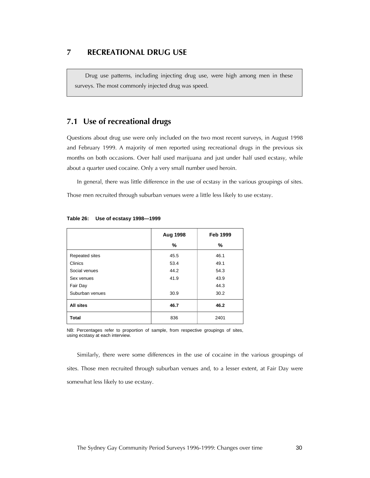#### *7 RECREATIONAL DRUG USE*

Drug use patterns, including injecting drug use, were high among men in these surveys. The most commonly injected drug was speed.

## *7.1 Use of recreational drugs*

Questions about drug use were only included on the two most recent surveys, in August 1998 and February 1999. A majority of men reported using recreational drugs in the previous six months on both occasions. Over half used marijuana and just under half used ecstasy, while about a quarter used cocaine. Only a very small number used heroin.

In general, there was little difference in the use of ecstasy in the various groupings of sites. Those men recruited through suburban venues were a little less likely to use ecstasy.

|                 | <b>Aug 1998</b> | <b>Feb 1999</b> |
|-----------------|-----------------|-----------------|
|                 | %               | %               |
| Repeated sites  | 45.5            | 46.1            |
| Clinics         | 53.4            | 49.1            |
| Social venues   | 44.2            | 54.3            |
| Sex venues      | 41.9            | 43.9            |
| Fair Day        |                 | 44.3            |
| Suburban venues | 30.9            | 30.2            |
| All sites       | 46.7            | 46.2            |
| <b>Total</b>    | 836             | 2401            |

| Table 26: Use of ecstasy 1998-1999 |  |
|------------------------------------|--|
|                                    |  |

NB: Percentages refer to proportion of sample, from respective groupings of sites, using ecstasy at each interview.

Similarly, there were some differences in the use of cocaine in the various groupings of sites. Those men recruited through suburban venues and, to a lesser extent, at Fair Day were somewhat less likely to use ecstasy.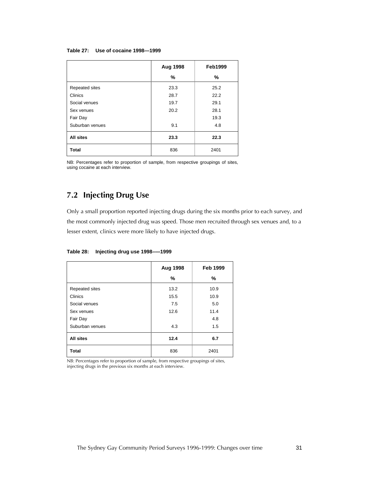#### **Table 27: Use of cocaine 1998—1999**

|                  | <b>Aug 1998</b> | <b>Feb1999</b> |
|------------------|-----------------|----------------|
|                  | %               | %              |
| Repeated sites   | 23.3            | 25.2           |
| Clinics          | 28.7            | 22.2           |
| Social venues    | 19.7            | 29.1           |
| Sex venues       | 20.2            | 28.1           |
| Fair Day         |                 | 19.3           |
| Suburban venues  | 9.1             | 4.8            |
| <b>All sites</b> | 23.3            | 22.3           |
| <b>Total</b>     | 836             | 2401           |

NB: Percentages refer to proportion of sample, from respective groupings of sites, using cocaine at each interview.

## *7.2 Injecting Drug Use*

Only a small proportion reported injecting drugs during the six months prior to each survey, and the most commonly injected drug was speed. Those men recruited through sex venues and, to a lesser extent, clinics were more likely to have injected drugs.

**Table 28: Injecting drug use 1998–—1999** 

|                 | Aug 1998 | <b>Feb 1999</b> |
|-----------------|----------|-----------------|
|                 | %        | %               |
| Repeated sites  | 13.2     | 10.9            |
| Clinics         | 15.5     | 10.9            |
| Social venues   | 7.5      | 5.0             |
| Sex venues      | 12.6     | 11.4            |
| Fair Day        |          | 4.8             |
| Suburban venues | 4.3      | 1.5             |
| All sites       | 12.4     | 6.7             |
| <b>Total</b>    | 836      | 2401            |

NB: Percentages refer to proportion of sample, from respective groupings of sites, injecting drugs in the previous six months at each interview.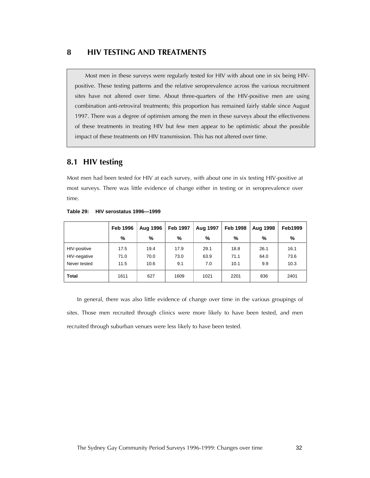Most men in these surveys were regularly tested for HIV with about one in six being HIVpositive. These testing patterns and the relative seroprevalence across the various recruitment sites have not altered over time. About three-quarters of the HIV-positive men are using combination anti-retroviral treatments; this proportion has remained fairly stable since August 1997. There was a degree of optimism among the men in these surveys about the effectiveness of these treatments in treating HIV but few men appear to be optimistic about the possible impact of these treatments on HIV transmission. This has not altered over time.

## *8.1 HIV testing*

Most men had been tested for HIV at each survey, with about one in six testing HIV-positive at most surveys. There was little evidence of change either in testing or in seroprevalence over time.

|              | <b>Feb 1996</b> | <b>Aug 1996</b> | <b>Feb 1997</b> | <b>Aug 1997</b> | <b>Feb 1998</b> | Aug 1998 | <b>Feb1999</b> |
|--------------|-----------------|-----------------|-----------------|-----------------|-----------------|----------|----------------|
|              | %               | %               | %               | %               | %               | %        | %              |
| HIV-positive | 17.5            | 19.4            | 17.9            | 29.1            | 18.8            | 26.1     | 16.1           |
| HIV-negative | 71.0            | 70.0            | 73.0            | 63.9            | 71.1            | 64.0     | 73.6           |
| Never tested | 11.5            | 10.6            | 9.1             | 7.0             | 10.1            | 9.9      | 10.3           |
| <b>Total</b> | 1611            | 627             | 1609            | 1021            | 2201            | 836      | 2401           |

**Table 29: HIV serostatus 1996—1999** 

In general, there was also little evidence of change over time in the various groupings of sites. Those men recruited through clinics were more likely to have been tested, and men recruited through suburban venues were less likely to have been tested.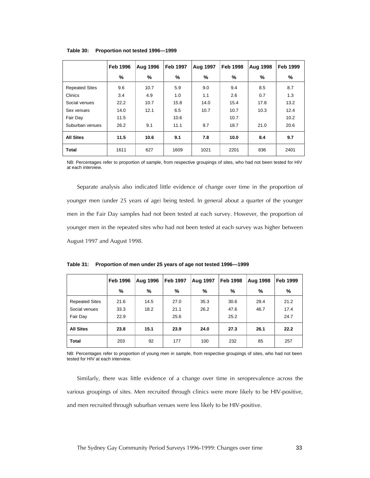|                       | <b>Feb 1996</b> | <b>Aug 1996</b> | <b>Feb 1997</b> | <b>Aug 1997</b> | <b>Feb 1998</b> | <b>Aug 1998</b> | <b>Feb 1999</b> |
|-----------------------|-----------------|-----------------|-----------------|-----------------|-----------------|-----------------|-----------------|
|                       | ℅               | %               | %               | ℅               | %               | $\%$            | %               |
| <b>Repeated Sites</b> | 9.6             | 10.7            | 5.9             | 9.0             | 9.4             | 8.5             | 8.7             |
| Clinics               | 3.4             | 4.9             | 1.0             | 1.1             | 2.6             | 0.7             | 1.3             |
| Social venues         | 22.2            | 10.7            | 15.8            | 14.0            | 15.4            | 17.8            | 13.2            |
| Sex venues            | 14.0            | 12.1            | 6.5             | 10.7            | 10.7            | 10.3            | 12.4            |
| Fair Day              | 11.5            |                 | 10.6            |                 | 10.7            |                 | 10.2            |
| Suburban venues       | 26.2            | 9.1             | 11.1            | 9.7             | 18.7            | 21.0            | 20.6            |
| <b>All Sites</b>      | 11.5            | 10.6            | 9.1             | 7.8             | 10.0<br>8.4     |                 | 9.7             |
| <b>Total</b>          | 1611            | 627             | 1609            | 1021            | 2201            | 836             | 2401            |

#### **Table 30: Proportion not tested 1996—1999**

NB: Percentages refer to proportion of sample, from respective groupings of sites, who had not been tested for HIV at each interview.

Separate analysis also indicated little evidence of change over time in the proportion of younger men (under 25 years of age) being tested. In general about a quarter of the younger men in the Fair Day samples had not been tested at each survey. However, the proportion of younger men in the repeated sites who had not been tested at each survey was higher between August 1997 and August 1998.

|  |  | Table 31: Proportion of men under 25 years of age not tested 1996–1999 |
|--|--|------------------------------------------------------------------------|
|--|--|------------------------------------------------------------------------|

|                       | <b>Feb 1996</b> | <b>Feb 1997</b><br>Aug 1997<br><b>Feb 1998</b><br>Aug 1996 |      | <b>Aug 1998</b> | <b>Feb 1999</b> |      |      |
|-----------------------|-----------------|------------------------------------------------------------|------|-----------------|-----------------|------|------|
|                       | %               | %                                                          | %    | %               | %               | %    | %    |
| <b>Repeated Sites</b> | 21.6            | 14.5                                                       | 27.0 | 35.3            | 30.6            | 29.4 | 21.2 |
| Social venues         | 33.3            | 18.2                                                       | 21.1 | 26.2            | 47.6            | 46.7 | 17.4 |
| Fair Day              | 22.9            |                                                            | 25.6 |                 | 25.2            |      | 24.7 |
| <b>All Sites</b>      | 23.8            | 15.1<br>23.9<br>24.0<br>27.3                               |      |                 | 26.1            | 22.2 |      |
| Total                 | 203             | 92                                                         | 177  | 100             | 232             | 85   | 257  |

NB: Percentages refer to proportion of young men in sample, from respective groupings of sites, who had not been tested for HIV at each interview.

Similarly, there was little evidence of a change over time in seroprevalence across the various groupings of sites. Men recruited through clinics were more likely to be HIV-positive, and men recruited through suburban venues were less likely to be HIV-positive.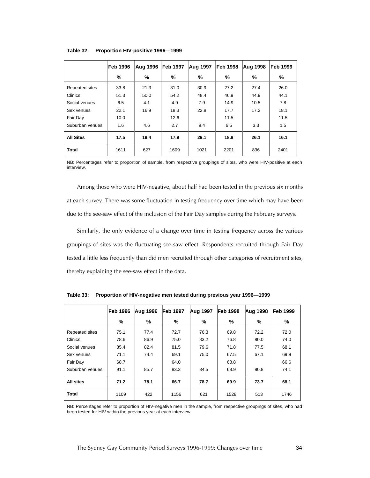|                  | <b>Feb 1996</b>                      | <b>Aug 1996</b> | <b>Feb 1997</b> | Aug 1997 | <b>Feb 1998</b> | Aug 1998 | Feb 1999 |
|------------------|--------------------------------------|-----------------|-----------------|----------|-----------------|----------|----------|
|                  | %                                    | %               | ℅               | %        | ℅               | %        | $\%$     |
| Repeated sites   | 33.8                                 | 21.3            | 31.0            | 30.9     | 27.2            | 27.4     | 26.0     |
| Clinics          | 51.3                                 | 50.0            | 54.2            | 48.4     | 46.9            | 44.9     | 44.1     |
| Social venues    | 6.5                                  | 4.1             | 4.9             | 7.9      | 14.9            | 10.5     | 7.8      |
| Sex venues       | 22.1                                 | 16.9            | 18.3            | 22.8     | 17.7            | 17.2     | 18.1     |
| Fair Day         | 10.0                                 |                 | 12.6            |          | 11.5            |          | 11.5     |
| Suburban venues  | 1.6                                  | 4.6             | 2.7             | 9.4      | 6.5             | 3.3      | 1.5      |
| <b>All Sites</b> | 17.5<br>19.4<br>29.1<br>18.8<br>17.9 |                 | 26.1            | 16.1     |                 |          |          |
| <b>Total</b>     | 1611                                 | 627             | 1609            | 1021     | 2201            | 836      | 2401     |

**Table 32: Proportion HIV-positive 1996—1999** 

NB: Percentages refer to proportion of sample, from respective groupings of sites, who were HIV-positive at each interview.

Among those who were HIV-negative, about half had been tested in the previous six months at each survey. There was some fluctuation in testing frequency over time which may have been due to the see-saw effect of the inclusion of the Fair Day samples during the February surveys.

Similarly, the only evidence of a change over time in testing frequency across the various groupings of sites was the fluctuating see-saw effect. Respondents recruited through Fair Day tested a little less frequently than did men recruited through other categories of recruitment sites, thereby explaining the see-saw effect in the data.

|                 | <b>Feb 1996</b> | Aug 1996 | <b>Feb 1997</b> | Aug 1997 | <b>Feb 1998</b> | Aug 1998 | <b>Feb 1999</b> |  |
|-----------------|-----------------|----------|-----------------|----------|-----------------|----------|-----------------|--|
|                 | %               | %        | ℅               | %        | ℅               | %        | %               |  |
| Repeated sites  | 75.1            | 77.4     | 72.7            | 76.3     | 69.8            | 72.2     | 72.0            |  |
| Clinics         | 78.6            | 86.9     | 75.0            | 83.2     | 76.8            | 80.0     | 74.0            |  |
| Social venues   | 85.4            | 82.4     | 81.5            | 79.6     | 71.8            | 77.5     | 68.1            |  |
| Sex venues      | 71.1            | 74.4     | 69.1            | 75.0     | 67.5            | 67.1     | 69.9            |  |
| Fair Day        | 68.7            |          | 64.0            |          | 68.8            |          | 66.6            |  |
| Suburban venues | 91.1            | 85.7     | 83.3            | 84.5     | 68.9            | 80.8     | 74.1            |  |
| All sites       | 71.2            | 78.1     | 66.7            | 78.7     | 69.9<br>73.7    |          | 68.1            |  |
| <b>Total</b>    | 1109            | 422      | 1156            | 621      | 1528            | 513      | 1746            |  |

**Table 33: Proportion of HIV-negative men tested during previous year 1996—1999** 

NB: Percentages refer to proportion of HIV-negative men in the sample, from respective groupings of sites, who had been tested for HIV within the previous year at each interview.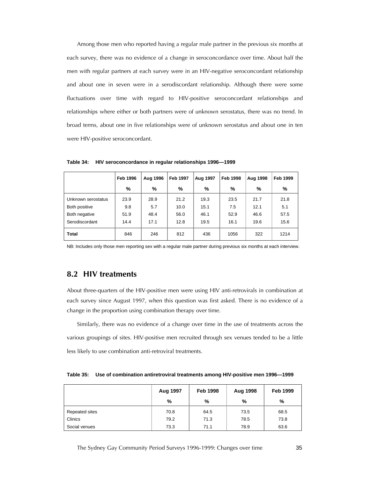Among those men who reported having a regular male partner in the previous six months at each survey, there was no evidence of a change in seroconcordance over time. About half the men with regular partners at each survey were in an HIV-negative seroconcordant relationship and about one in seven were in a serodiscordant relationship. Although there were some fluctuations over time with regard to HIV-positive seroconcordant relationships and relationships where either or both partners were of unknown serostatus, there was no trend. In broad terms, about one in five relationships were of unknown serostatus and about one in ten were HIV-positive seroconcordant.

|                    | <b>Feb 1996</b> | Aug 1996 | <b>Feb 1997</b> | Aug 1997 | <b>Feb 1998</b> | Aug 1998 | Feb 1999 |
|--------------------|-----------------|----------|-----------------|----------|-----------------|----------|----------|
|                    | %               | %        | %               | %        | %               | %        | %        |
| Unknown serostatus | 23.9            | 28.9     | 21.2            | 19.3     | 23.5            | 21.7     | 21.8     |
| Both positive      | 9.8             | 5.7      | 10.0            | 15.1     | 7.5             | 12.1     | 5.1      |
| Both negative      | 51.9            | 48.4     | 56.0            | 46.1     | 52.9            | 46.6     | 57.5     |
| Serodiscordant     | 14.4            | 17.1     | 12.8            | 19.5     | 16.1            | 19.6     | 15.6     |
| <b>Total</b>       | 846             | 246      | 812             | 436      | 1056            | 322      | 1214     |

**Table 34: HIV seroconcordance in regular relationships 1996—1999** 

NB: Includes only those men reporting sex with a regular male partner during previous six months at each interview.

#### *8.2 HIV treatments*

About three-quarters of the HIV-positive men were using HIV anti-retrovirals in combination at each survey since August 1997, when this question was first asked. There is no evidence of a change in the proportion using combination therapy over time.

Similarly, there was no evidence of a change over time in the use of treatments across the various groupings of sites. HIV-positive men recruited through sex venues tended to be a little less likely to use combination anti-retroviral treatments.

| Table 35: Use of combination antiretroviral treatments among HIV-positive men 1996-1999 |
|-----------------------------------------------------------------------------------------|
|                                                                                         |

|                | Aug 1997 | <b>Feb 1998</b> | Aug 1998 | <b>Feb 1999</b> |
|----------------|----------|-----------------|----------|-----------------|
|                | %        | %               | %        | %               |
| Repeated sites | 70.8     | 64.5            | 73.5     | 68.5            |
| Clinics        | 79.2     | 71.3            | 78.5     | 73.8            |
| Social venues  | 73.3     | 71.1            | 78.9     | 63.6            |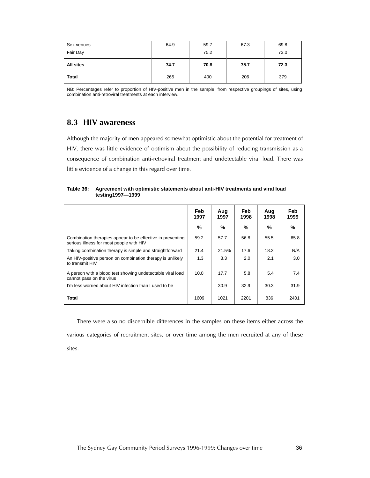| Sex venues   | 64.9 | 59.7 | 67.3 | 69.8 |
|--------------|------|------|------|------|
| Fair Day     |      | 75.2 |      | 73.0 |
| All sites    | 74.7 | 70.8 | 75.7 | 72.3 |
| <b>Total</b> | 265  | 400  | 206  | 379  |

NB: Percentages refer to proportion of HIV-positive men in the sample, from respective groupings of sites, using combination anti-retroviral treatments at each interview.

## *8.3 HIV awareness*

Although the majority of men appeared somewhat optimistic about the potential for treatment of HIV, there was little evidence of optimism about the possibility of reducing transmission as a consequence of combination anti-retroviral treatment and undetectable viral load. There was little evidence of a change in this regard over time.

**Table 36: Agreement with optimistic statements about anti-HIV treatments and viral load testing1997—1999** 

|                                                                                                        | Feb<br>1997 | Aug<br>1997 | Feb<br>1998 | Aug<br>1998 | <b>Feb</b><br>1999 |
|--------------------------------------------------------------------------------------------------------|-------------|-------------|-------------|-------------|--------------------|
|                                                                                                        | %           | ℅           | %           | %           | %                  |
| Combination therapies appear to be effective in preventing<br>serious illness for most people with HIV | 59.2        | 57.7        | 56.8        | 55.5        | 65.8               |
| Taking combination therapy is simple and straightforward                                               | 21.4        | 21.5%       | 17.6        | 18.3        | N/A                |
| An HIV-positive person on combination therapy is unlikely<br>to transmit HIV                           | 1.3         | 3.3         | 2.0         | 2.1         | 3.0                |
| A person with a blood test showing undetectable viral load<br>cannot pass on the virus                 | 10.0        | 17.7        | 5.8         | 5.4         | 7.4                |
| I'm less worried about HIV infection than I used to be                                                 |             | 30.9        | 32.9        | 30.3        | 31.9               |
| <b>Total</b>                                                                                           | 1609        | 1021        | 2201        | 836         | 2401               |

There were also no discernible differences in the samples on these items either across the various categories of recruitment sites, or over time among the men recruited at any of these sites.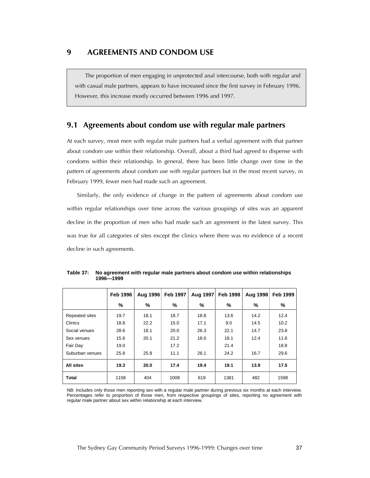*9 AGREEMENTS AND CONDOM USE* 

The proportion of men engaging in unprotected anal intercourse, both with regular and with casual male partners, appears to have increased since the first survey in February 1996. However, this increase mostly occurred between 1996 and 1997.

#### *9.1 Agreements about condom use with regular male partners*

At each survey, most men with regular male partners had a verbal agreement with that partner about condom use within their relationship. Overall, about a third had agreed to dispense with condoms within their relationship. In general, there has been little change over time in the pattern of agreements about condom use with regular partners but in the most recent survey, in February 1999, fewer men had made such an agreement.

Similarly, the only evidence of change in the pattern of agreements about condom use within regular relationships over time across the various groupings of sites was an apparent decline in the proportion of men who had made such an agreement in the latest survey. This was true for all categories of sites except the clinics where there was no evidence of a recent decline in such agreements.

|                 | <b>Feb 1996</b> | Aug 1996 | <b>Feb 1997</b> | Aug 1997 | <b>Feb 1998</b> | <b>Aug 1998</b> | <b>Feb 1999</b> |
|-----------------|-----------------|----------|-----------------|----------|-----------------|-----------------|-----------------|
|                 | %               | %        | %               | ℅        | %               | ℅               | %               |
| Repeated sites  | 19.7            | 18.1     | 18.7            | 18.8     | 13.6            | 14.2            | 12.4            |
| Clinics         | 18.8            | 22.2     | 15.0            | 17.1     | 9.0             | 14.5            | 10.2            |
| Social venues   | 28.6            | 18.1     | 20.0            | 26.3     | 22.1            | 14.7            | 23.8            |
| Sex venues      | 15.6            | 20.1     | 21.2            | 18.0     | 18.1            | 12.4            | 11.6            |
| Fair Day        | 19.0            |          | 17.2            |          | 21.4            |                 | 18.8            |
| Suburban venues | 25.8            | 25.8     | 11.1            | 26.1     | 24.2            | 16.7            | 29.6            |
| All sites       | 19.3            | 20.0     | 17.4            | 19.4     | 19.1            | 13.9            | 17.5            |
| <b>Total</b>    | 1158            | 404      | 1008            | 619      | 1381            | 482             | 1598            |

**Table 37: No agreement with regular male partners about condom use within relationships 1996—1999** 

NB: Includes only those men reporting sex with a regular male partner during previous six months at each interview. Percentages refer to proportion of those men, from respective groupings of sites, reporting no agreement with regular male partner about sex within relationship at each interview.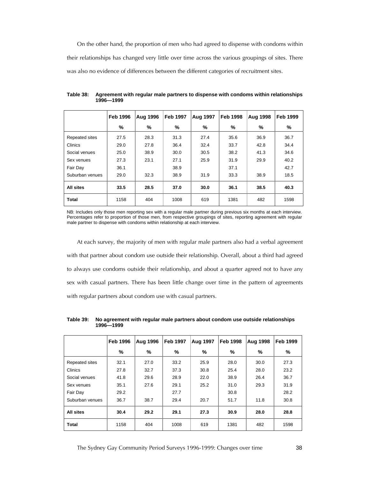On the other hand, the proportion of men who had agreed to dispense with condoms within their relationships has changed very little over time across the various groupings of sites. There was also no evidence of differences between the different categories of recruitment sites.

|                 | <b>Feb 1996</b> | <b>Aug 1996</b> | <b>Feb 1997</b> | <b>Aug 1997</b> | <b>Feb 1998</b> | Aug 1998 | <b>Feb 1999</b> |
|-----------------|-----------------|-----------------|-----------------|-----------------|-----------------|----------|-----------------|
|                 | %               | %               | %               | %               | %               | %        | %               |
| Repeated sites  | 27.5            | 28.3            | 31.3            | 27.4            | 35.6            | 36.9     | 36.7            |
| Clinics         | 29.0            | 27.8            | 36.4            | 32.4            | 33.7            | 42.8     | 34.4            |
| Social venues   | 25.0            | 38.9            | 30.0            | 30.5            | 38.2            | 41.3     | 34.6            |
| Sex venues      | 27.3            | 23.1            | 27.1            | 25.9            | 31.9            | 29.9     | 40.2            |
| Fair Day        | 36.1            |                 | 38.9            |                 | 37.1            |          | 42.7            |
| Suburban venues | 29.0            | 32.3            | 38.9            | 31.9            | 33.3            | 38.9     | 18.5            |
| All sites       | 33.5            | 28.5            | 37.0            | 30.0            | 36.1            | 38.5     | 40.3            |
| <b>Total</b>    | 1158            | 404             | 1008            | 619             | 1381            | 482      | 1598            |

**Table 38: Agreement with regular male partners to dispense with condoms within relationships 1996—1999** 

NB: Includes only those men reporting sex with a regular male partner during previous six months at each interview. Percentages refer to proportion of those men, from respective groupings of sites, reporting agreement with regular male partner to dispense with condoms within relationship at each interview.

At each survey, the majority of men with regular male partners also had a verbal agreement with that partner about condom use outside their relationship. Overall, about a third had agreed to always use condoms outside their relationship, and about a quarter agreed not to have any sex with casual partners. There has been little change over time in the pattern of agreements with regular partners about condom use with casual partners.

|                  | <b>Feb 1996</b> | <b>Aug 1996</b> | <b>Feb 1997</b> | Aug 1997 | <b>Feb 1998</b> | <b>Aug 1998</b> | <b>Feb 1999</b> |
|------------------|-----------------|-----------------|-----------------|----------|-----------------|-----------------|-----------------|
|                  | %               | %               | %               | %        | %               | %               | %               |
| Repeated sites   | 32.1            | 27.0            | 33.2            | 25.9     | 28.0            | 30.0            | 27.3            |
| Clinics          | 27.8            | 32.7            | 37.3            | 30.8     | 25.4            | 28.0            | 23.2            |
| Social venues    | 41.8            | 29.6            | 28.9            | 22.0     | 38.9            | 26.4            | 36.7            |
| Sex venues       | 35.1            | 27.6            | 29.1            | 25.2     | 31.0            | 29.3            | 31.9            |
| Fair Day         | 29.2            |                 | 27.7            |          | 30.8            |                 | 28.2            |
| Suburban venues  | 36.7            | 38.7            | 29.4            | 20.7     | 51.7            | 11.8            | 30.8            |
| <b>All sites</b> | 30.4            | 29.2            | 29.1            | 27.3     | 30.9            | 28.0            | 28.8            |
| <b>Total</b>     | 1158            | 404             | 1008            | 619      | 1381            | 482             | 1598            |

**Table 39: No agreement with regular male partners about condom use outside relationships 1996—1999**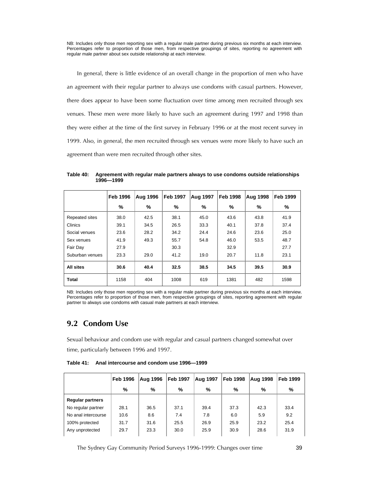NB: Includes only those men reporting sex with a regular male partner during previous six months at each interview. Percentages refer to proportion of those men, from respective groupings of sites, reporting no agreement with regular male partner about sex outside relationship at each interview.

In general, there is little evidence of an overall change in the proportion of men who have an agreement with their regular partner to always use condoms with casual partners. However, there does appear to have been some fluctuation over time among men recruited through sex venues. These men were more likely to have such an agreement during 1997 and 1998 than they were either at the time of the first survey in February 1996 or at the most recent survey in 1999. Also, in general, the men recruited through sex venues were more likely to have such an agreement than were men recruited through other sites.

|                 | <b>Feb 1996</b> | <b>Aug 1996</b> | <b>Feb 1997</b> | Aug 1997 | <b>Feb 1998</b> | Aug 1998 | <b>Feb 1999</b> |
|-----------------|-----------------|-----------------|-----------------|----------|-----------------|----------|-----------------|
|                 | %               | %               | %               | %        | %               | ℅        | %               |
| Repeated sites  | 38.0            | 42.5            | 38.1            | 45.0     | 43.6            | 43.8     | 41.9            |
| Clinics         | 39.1            | 34.5            | 26.5            | 33.3     | 40.1            | 37.8     | 37.4            |
| Social venues   | 23.6            | 28.2            | 34.2            | 24.4     | 24.6            | 23.6     | 25.0            |
| Sex venues      | 41.9            | 49.3            | 55.7            | 54.8     | 46.0            | 53.5     | 48.7            |
| Fair Day        | 27.9            |                 | 30.3            |          | 32.9            |          | 27.7            |
| Suburban venues | 23.3            | 29.0            | 41.2            | 19.0     | 20.7            | 11.8     | 23.1            |
| All sites       | 30.6            | 40.4            | 32.5            | 38.5     | 34.5            | 39.5     | 30.9            |
| <b>Total</b>    | 1158            | 404             | 1008            | 619      | 1381            | 482      | 1598            |

**Table 40: Agreement with regular male partners always to use condoms outside relationships 1996—1999** 

NB: Includes only those men reporting sex with a regular male partner during previous six months at each interview. Percentages refer to proportion of those men, from respective groupings of sites, reporting agreement with regular partner to always use condoms with casual male partners at each interview.

## *9.2 Condom Use*

Sexual behaviour and condom use with regular and casual partners changed somewhat over time, particularly between 1996 and 1997.

**Table 41: Anal intercourse and condom use 1996—1999** 

|                         | <b>Feb 1996</b> | Aug 1996 | <b>Feb 1997</b> | <b>Aug 1997</b> | <b>Feb 1998</b> | Aug 1998 | <b>Feb 1999</b> |
|-------------------------|-----------------|----------|-----------------|-----------------|-----------------|----------|-----------------|
|                         | %               | %        | %               | %               | %               | %        | %               |
| <b>Regular partners</b> |                 |          |                 |                 |                 |          |                 |
| No regular partner      | 28.1            | 36.5     | 37.1            | 39.4            | 37.3            | 42.3     | 33.4            |
| No anal intercourse     | 10.6            | 8.6      | 7.4             | 7.8             | 6.0             | 5.9      | 9.2             |
| 100% protected          | 31.7            | 31.6     | 25.5            | 26.9            | 25.9            | 23.2     | 25.4            |
| Any unprotected         | 29.7            | 23.3     | 30.0            | 25.9            | 30.9            | 28.6     | 31.9            |

The Sydney Gay Community Period Surveys 1996-1999: Changes over time 39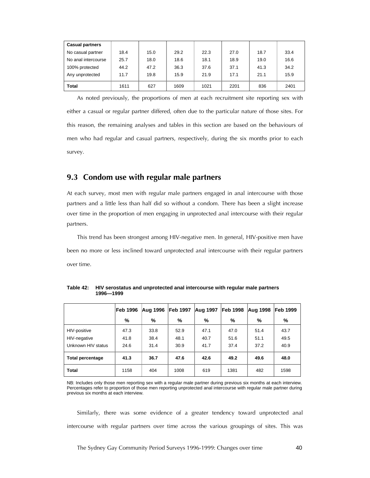| <b>Casual partners</b> |      |      |      |      |      |      |      |
|------------------------|------|------|------|------|------|------|------|
| No casual partner      | 18.4 | 15.0 | 29.2 | 22.3 | 27.0 | 18.7 | 33.4 |
| No anal intercourse    | 25.7 | 18.0 | 18.6 | 18.1 | 18.9 | 19.0 | 16.6 |
| 100% protected         | 44.2 | 47.2 | 36.3 | 37.6 | 37.1 | 41.3 | 34.2 |
| Any unprotected        | 11.7 | 19.8 | 15.9 | 21.9 | 17.1 | 21.1 | 15.9 |
| <b>Total</b>           | 1611 | 627  | 1609 | 1021 | 2201 | 836  | 2401 |

As noted previously, the proportions of men at each recruitment site reporting sex with either a casual or regular partner differed, often due to the particular nature of those sites. For this reason, the remaining analyses and tables in this section are based on the behaviours of men who had regular and casual partners, respectively, during the six months prior to each survey.

## *9.3 Condom use with regular male partners*

At each survey, most men with regular male partners engaged in anal intercourse with those partners and a little less than half did so without a condom. There has been a slight increase over time in the proportion of men engaging in unprotected anal intercourse with their regular partners.

This trend has been strongest among HIV-negative men. In general, HIV-positive men have been no more or less inclined toward unprotected anal intercourse with their regular partners over time.

|                         | <b>Feb 1996</b> | Aug 1996 | Feb 1997 | <b>Aug 1997</b> | Feb 1998 | Aug 1998 | <b>Feb 1999</b> |
|-------------------------|-----------------|----------|----------|-----------------|----------|----------|-----------------|
|                         | %               | %        | %        | %               | %        | %        | %               |
| HIV-positive            | 47.3            | 33.8     | 52.9     | 47.1            | 47.0     | 51.4     | 43.7            |
| HIV-negative            | 41.8            | 38.4     | 48.1     | 40.7            | 51.6     | 51.1     | 49.5            |
| Unknown HIV status      | 24.6            | 31.4     | 30.9     | 41.7            | 37.4     | 37.2     | 40.9            |
| <b>Total percentage</b> | 41.3            | 36.7     | 47.6     | 42.6            | 49.2     | 49.6     | 48.0            |
| <b>Total</b>            | 1158            | 404      | 1008     | 619             | 1381     | 482      | 1598            |

**Table 42: HIV serostatus and unprotected anal intercourse with regular male partners 1996—1999** 

NB: Includes only those men reporting sex with a regular male partner during previous six months at each interview. Percentages refer to proportion of those men reporting unprotected anal intercourse with regular male partner during previous six months at each interview.

Similarly, there was some evidence of a greater tendency toward unprotected anal intercourse with regular partners over time across the various groupings of sites. This was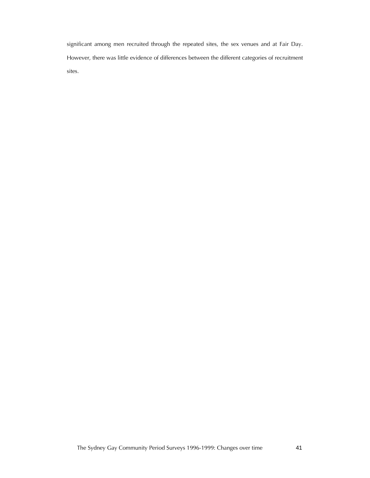significant among men recruited through the repeated sites, the sex venues and at Fair Day. However, there was little evidence of differences between the different categories of recruitment sites.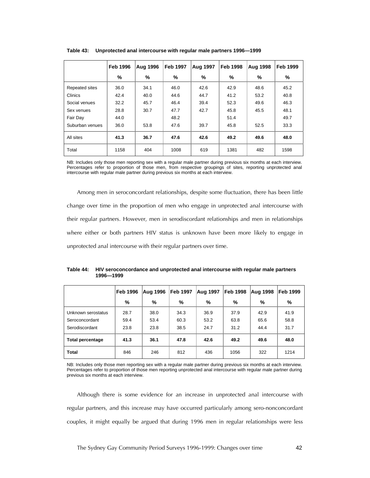|                 | <b>Feb 1996</b> | <b>Aug 1996</b> | <b>Feb 1997</b> | <b>Aug 1997</b> | <b>Feb 1998</b> | <b>Aug 1998</b> | <b>Feb 1999</b> |
|-----------------|-----------------|-----------------|-----------------|-----------------|-----------------|-----------------|-----------------|
|                 | %               | %               | %               | %               | %               | %               | %               |
| Repeated sites  | 36.0            | 34.1            | 46.0            | 42.6            | 42.9            | 48.6            | 45.2            |
| Clinics         | 42.4            | 40.0            | 44.6            | 44.7            | 41.2            | 53.2            | 40.8            |
| Social venues   | 32.2            | 45.7            | 46.4            | 39.4            | 52.3            | 49.6            | 46.3            |
| Sex venues      | 28.8            | 30.7            | 47.7            | 42.7            | 45.8            | 45.5            | 48.1            |
| Fair Day        | 44.0            |                 | 48.2            |                 | 51.4            |                 | 49.7            |
| Suburban venues | 36.0            | 53.8            | 47.6            | 39.7            | 45.8            | 52.5            | 33.3            |
| All sites       | 41.3            | 36.7            | 47.6            | 42.6            | 49.2            | 49.6            | 48.0            |
| Total           | 1158            | 404             | 1008            | 619             | 1381            | 482             | 1598            |

**Table 43: Unprotected anal intercourse with regular male partners 1996—1999** 

NB: Includes only those men reporting sex with a regular male partner during previous six months at each interview. Percentages refer to proportion of those men, from respective groupings of sites, reporting unprotected anal intercourse with regular male partner during previous six months at each interview.

Among men in seroconcordant relationships, despite some fluctuation, there has been little change over time in the proportion of men who engage in unprotected anal intercourse with their regular partners. However, men in serodiscordant relationships and men in relationships where either or both partners HIV status is unknown have been more likely to engage in unprotected anal intercourse with their regular partners over time.

| Table 44: HIV seroconcordance and unprotected anal intercourse with regular male partners |
|-------------------------------------------------------------------------------------------|
| 1996—1999                                                                                 |
|                                                                                           |

|                         | <b>Feb 1996</b> | Aug 1996 | Feb 1997 | <b>Aug 1997</b> | <b>Feb 1998</b> | Aug 1998 | <b>Feb 1999</b> |
|-------------------------|-----------------|----------|----------|-----------------|-----------------|----------|-----------------|
|                         | %               | %        | %        | %               | %               | %        | %               |
| Unknown serostatus      | 28.7            | 38.0     | 34.3     | 36.9            | 37.9            | 42.9     | 41.9            |
| Seroconcordant          | 59.4            | 53.4     | 60.3     | 53.2            | 63.8            | 65.6     | 58.8            |
| Serodiscordant          | 23.8            | 23.8     | 38.5     | 24.7            | 31.2            | 44.4     | 31.7            |
| <b>Total percentage</b> | 41.3            | 36.1     | 47.8     | 42.6            | 49.2            | 49.6     | 48.0            |
| <b>Total</b>            | 846             | 246      | 812      | 436             | 1056            | 322      | 1214            |

NB: Includes only those men reporting sex with a regular male partner during previous six months at each interview. Percentages refer to proportion of those men reporting unprotected anal intercourse with regular male partner during previous six months at each interview.

Although there is some evidence for an increase in unprotected anal intercourse with regular partners, and this increase may have occurred particularly among sero-nonconcordant couples, it might equally be argued that during 1996 men in regular relationships were less

The Sydney Gay Community Period Surveys 1996-1999: Changes over time 42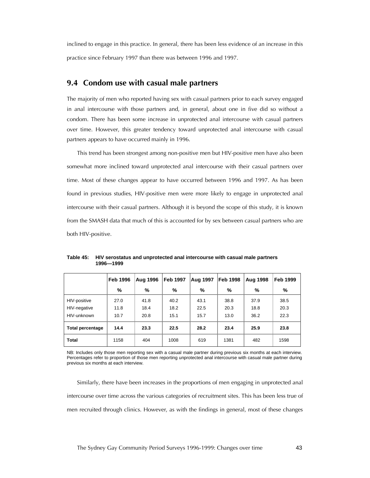inclined to engage in this practice. In general, there has been less evidence of an increase in this practice since February 1997 than there was between 1996 and 1997.

#### *9.4 Condom use with casual male partners*

The majority of men who reported having sex with casual partners prior to each survey engaged in anal intercourse with those partners and, in general, about one in five did so without a condom. There has been some increase in unprotected anal intercourse with casual partners over time. However, this greater tendency toward unprotected anal intercourse with casual partners appears to have occurred mainly in 1996.

This trend has been strongest among non-positive men but HIV-positive men have also been somewhat more inclined toward unprotected anal intercourse with their casual partners over time. Most of these changes appear to have occurred between 1996 and 1997. As has been found in previous studies, HIV-positive men were more likely to engage in unprotected anal intercourse with their casual partners. Although it is beyond the scope of this study, it is known from the SMASH data that much of this is accounted for by sex between casual partners who are both HIV-positive.

|                                             | <b>Feb 1996</b>      | <b>Aug 1996</b>      | <b>Feb 1997</b>      | <b>Aug 1997</b>      | Feb 1998             | <b>Aug 1998</b>      | <b>Feb 1999</b>      |
|---------------------------------------------|----------------------|----------------------|----------------------|----------------------|----------------------|----------------------|----------------------|
|                                             | %                    | %                    | %                    | %                    | %                    | %                    | %                    |
| HIV-positive<br>HIV-negative<br>HIV-unknown | 27.0<br>11.8<br>10.7 | 41.8<br>18.4<br>20.8 | 40.2<br>18.2<br>15.1 | 43.1<br>22.5<br>15.7 | 38.8<br>20.3<br>13.0 | 37.9<br>18.8<br>36.2 | 38.5<br>20.3<br>22.3 |
| <b>Total percentage</b>                     | 14.4                 | 23.3                 | 22.5                 | 28.2                 | 23.4                 | 25.9                 | 23.8                 |
| <b>Total</b>                                | 1158                 | 404                  | 1008                 | 619                  | 1381                 | 482                  | 1598                 |

**Table 45: HIV serostatus and unprotected anal intercourse with casual male partners 1996—1999** 

NB: Includes only those men reporting sex with a casual male partner during previous six months at each interview. Percentages refer to proportion of those men reporting unprotected anal intercourse with casual male partner during previous six months at each interview.

Similarly, there have been increases in the proportions of men engaging in unprotected anal intercourse over time across the various categories of recruitment sites. This has been less true of men recruited through clinics. However, as with the findings in general, most of these changes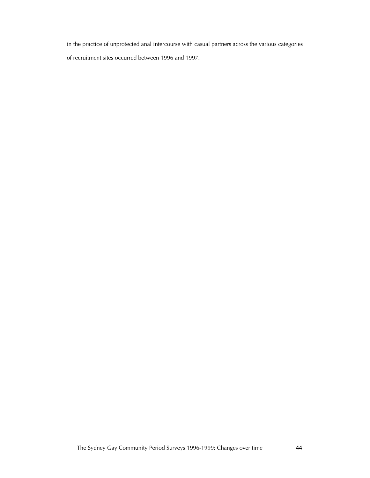in the practice of unprotected anal intercourse with casual partners across the various categories of recruitment sites occurred between 1996 and 1997.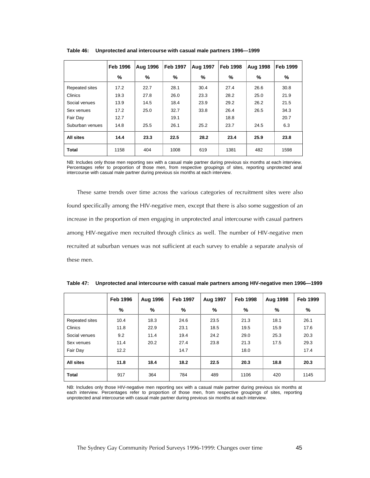|                  | <b>Feb 1996</b> | <b>Aug 1996</b> | <b>Feb 1997</b> | Aug 1997 | <b>Feb 1998</b> | <b>Aug 1998</b> | <b>Feb 1999</b> |
|------------------|-----------------|-----------------|-----------------|----------|-----------------|-----------------|-----------------|
|                  | %               | %               | %               | %        | %               | %               | %               |
| Repeated sites   | 17.2            | 22.7            | 28.1            | 30.4     | 27.4            | 26.6            | 30.8            |
| Clinics          | 19.3            | 27.8            | 26.0            | 23.3     | 28.2            | 25.0            | 21.9            |
| Social venues    | 13.9            | 14.5            | 18.4            | 23.9     | 29.2            | 26.2            | 21.5            |
| Sex venues       | 17.2            | 25.0            | 32.7            | 33.8     | 26.4            | 26.5            | 34.3            |
| Fair Day         | 12.7            |                 | 19.1            |          | 18.8            |                 | 20.7            |
| Suburban venues  | 14.8            | 25.5            | 26.1            | 25.2     | 23.7            | 24.5            | 6.3             |
| <b>All sites</b> | 14.4            | 23.3            | 22.5            | 28.2     | 23.4            | 25.9            | 23.8            |
| <b>Total</b>     | 1158            | 404             | 1008            | 619      | 1381            | 482             | 1598            |

**Table 46: Unprotected anal intercourse with casual male partners 1996—1999** 

NB: Includes only those men reporting sex with a casual male partner during previous six months at each interview. Percentages refer to proportion of those men, from respective groupings of sites, reporting unprotected anal intercourse with casual male partner during previous six months at each interview.

These same trends over time across the various categories of recruitment sites were also found specifically among the HIV-negative men, except that there is also some suggestion of an increase in the proportion of men engaging in unprotected anal intercourse with casual partners among HIV-negative men recruited through clinics as well. The number of HIV-negative men recruited at suburban venues was not sufficient at each survey to enable a separate analysis of these men.

|                | <b>Feb 1996</b> | Aug 1996 | <b>Feb 1997</b> | Aug 1997 | <b>Feb 1998</b> | Aug 1998 | <b>Feb 1999</b> |
|----------------|-----------------|----------|-----------------|----------|-----------------|----------|-----------------|
|                | %               | %        | %               | %        | %               | %        | %               |
| Repeated sites | 10.4            | 18.3     | 24.6            | 23.5     | 21.3            | 18.1     | 26.1            |
| <b>Clinics</b> | 11.8            | 22.9     | 23.1            | 18.5     | 19.5            | 15.9     | 17.6            |
| Social venues  | 9.2             | 11.4     | 19.4            | 24.2     | 29.0            | 25.3     | 20.3            |
| Sex venues     | 11.4            | 20.2     | 27.4            | 23.8     | 21.3            | 17.5     | 29.3            |
| Fair Day       | 12.2            |          | 14.7            |          | 18.0            |          | 17.4            |
| All sites      | 11.8            | 18.4     | 18.2            | 22.5     | 20.3            | 18.8     | 20.3            |
| <b>Total</b>   | 917             | 364      | 784             | 489      | 1106            | 420      | 1145            |

**Table 47: Unprotected anal intercourse with casual male partners among HIV-negative men 1996—1999** 

NB: Includes only those HIV-negative men reporting sex with a casual male partner during previous six months at each interview. Percentages refer to proportion of those men, from respective groupings of sites, reporting unprotected anal intercourse with casual male partner during previous six months at each interview.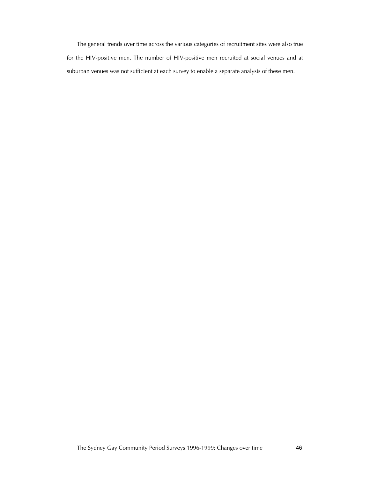The general trends over time across the various categories of recruitment sites were also true for the HIV-positive men. The number of HIV-positive men recruited at social venues and at suburban venues was not sufficient at each survey to enable a separate analysis of these men.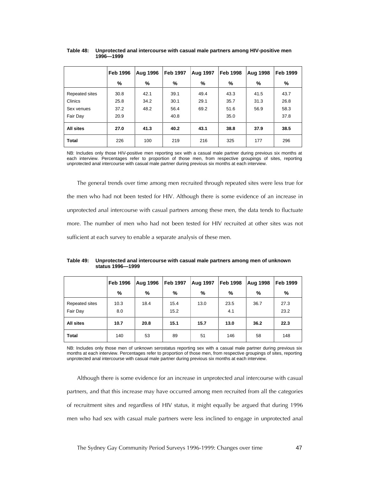|                | <b>Feb 1996</b> | Aug 1996 | <b>Feb 1997</b> | <b>Aug 1997</b> | <b>Feb 1998</b> | <b>Aug 1998</b> | <b>Feb 1999</b> |
|----------------|-----------------|----------|-----------------|-----------------|-----------------|-----------------|-----------------|
|                | %               | %        | %               | %               | %               | %               | %               |
| Repeated sites | 30.8            | 42.1     | 39.1            | 49.4            | 43.3            | 41.5            | 43.7            |
| <b>Clinics</b> | 25.8            | 34.2     | 30.1            | 29.1            | 35.7            | 31.3            | 26.8            |
| Sex venues     | 37.2            | 48.2     | 56.4            | 69.2            | 51.6            | 56.9            | 58.3            |
| Fair Day       | 20.9            |          | 40.8            |                 | 35.0            |                 | 37.8            |
| All sites      | 27.0            | 41.3     | 40.2            | 43.1            | 38.8            | 37.9            | 38.5            |
| <b>Total</b>   | 226             | 100      | 219             | 216             | 325             | 177             | 296             |

#### **Table 48: Unprotected anal intercourse with casual male partners among HIV-positive men 1996—1999**

NB: Includes only those HIV-positive men reporting sex with a casual male partner during previous six months at each interview. Percentages refer to proportion of those men, from respective groupings of sites, reporting unprotected anal intercourse with casual male partner during previous six months at each interview.

The general trends over time among men recruited through repeated sites were less true for the men who had not been tested for HIV. Although there is some evidence of an increase in unprotected anal intercourse with casual partners among these men, the data tends to fluctuate more. The number of men who had not been tested for HIV recruited at other sites was not sufficient at each survey to enable a separate analysis of these men.

#### **Table 49: Unprotected anal intercourse with casual male partners among men of unknown status 1996—1999**

|                            | <b>Feb 1996</b> | <b>Aug 1996</b> | <b>Feb 1997</b> | <b>Aug 1997</b> | Feb 1998    | <b>Aug 1998</b> | <b>Feb 1999</b> |
|----------------------------|-----------------|-----------------|-----------------|-----------------|-------------|-----------------|-----------------|
|                            | %               | %               | %               | %               | %           | %               | %               |
| Repeated sites<br>Fair Day | 10.3<br>8.0     | 18.4            | 15.4<br>15.2    | 13.0            | 23.5<br>4.1 | 36.7            | 27.3<br>23.2    |
| <b>All sites</b>           | 10.7            | 20.8            | 15.1            | 15.7            | 13.0        | 36.2            | 22.3            |
| <b>Total</b>               | 140             | 53              | 89              | 51              | 146         | 58              | 148             |

NB: Includes only those men of unknown serostatus reporting sex with a casual male partner during previous six months at each interview. Percentages refer to proportion of those men, from respective groupings of sites, reporting unprotected anal intercourse with casual male partner during previous six months at each interview.

Although there is some evidence for an increase in unprotected anal intercourse with casual partners, and that this increase may have occurred among men recruited from all the categories of recruitment sites and regardless of HIV status, it might equally be argued that during 1996 men who had sex with casual male partners were less inclined to engage in unprotected anal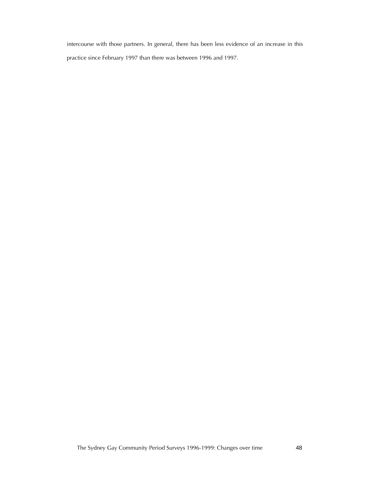intercourse with those partners. In general, there has been less evidence of an increase in this practice since February 1997 than there was between 1996 and 1997.